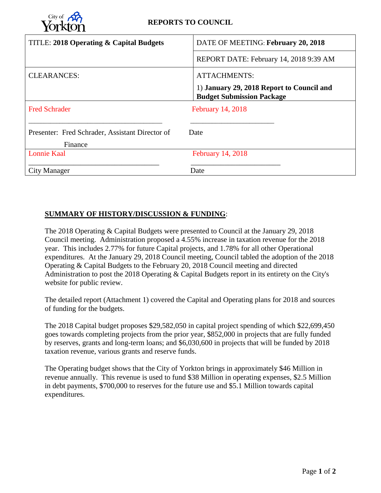

| TITLE: 2018 Operating & Capital Budgets                    | DATE OF MEETING: February 20, 2018                                            |
|------------------------------------------------------------|-------------------------------------------------------------------------------|
|                                                            | REPORT DATE: February 14, 2018 9:39 AM                                        |
| <b>CLEARANCES:</b>                                         | <b>ATTACHMENTS:</b>                                                           |
|                                                            | 1) January 29, 2018 Report to Council and<br><b>Budget Submission Package</b> |
| <b>Fred Schrader</b>                                       | February 14, 2018                                                             |
| Presenter: Fred Schrader, Assistant Director of<br>Finance | Date                                                                          |
| <b>Lonnie Kaal</b>                                         | <b>February 14, 2018</b>                                                      |
| City Manager                                               | Date                                                                          |

# **SUMMARY OF HISTORY/DISCUSSION & FUNDING**:

The 2018 Operating & Capital Budgets were presented to Council at the January 29, 2018 Council meeting. Administration proposed a 4.55% increase in taxation revenue for the 2018 year. This includes 2.77% for future Capital projects, and 1.78% for all other Operational expenditures. At the January 29, 2018 Council meeting, Council tabled the adoption of the 2018 Operating & Capital Budgets to the February 20, 2018 Council meeting and directed Administration to post the 2018 Operating & Capital Budgets report in its entirety on the City's website for public review.

The detailed report (Attachment 1) covered the Capital and Operating plans for 2018 and sources of funding for the budgets.

The 2018 Capital budget proposes \$29,582,050 in capital project spending of which \$22,699,450 goes towards completing projects from the prior year, \$852,000 in projects that are fully funded by reserves, grants and long-term loans; and \$6,030,600 in projects that will be funded by 2018 taxation revenue, various grants and reserve funds.

The Operating budget shows that the City of Yorkton brings in approximately \$46 Million in revenue annually. This revenue is used to fund \$38 Million in operating expenses, \$2.5 Million in debt payments, \$700,000 to reserves for the future use and \$5.1 Million towards capital expenditures.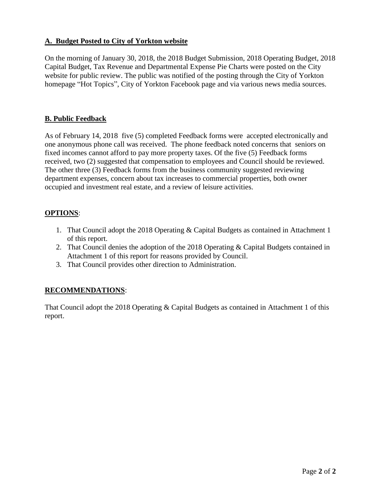# **A. Budget Posted to City of Yorkton website**

On the morning of January 30, 2018, the 2018 Budget Submission, 2018 Operating Budget, 2018 Capital Budget, Tax Revenue and Departmental Expense Pie Charts were posted on the City website for public review. The public was notified of the posting through the City of Yorkton homepage "Hot Topics", City of Yorkton Facebook page and via various news media sources.

# **B. Public Feedback**

As of February 14, 2018 five (5) completed Feedback forms were accepted electronically and one anonymous phone call was received. The phone feedback noted concerns that seniors on fixed incomes cannot afford to pay more property taxes. Of the five (5) Feedback forms received, two (2) suggested that compensation to employees and Council should be reviewed. The other three (3) Feedback forms from the business community suggested reviewing department expenses, concern about tax increases to commercial properties, both owner occupied and investment real estate, and a review of leisure activities.

# **OPTIONS**:

- 1. That Council adopt the 2018 Operating & Capital Budgets as contained in Attachment 1 of this report.
- 2. That Council denies the adoption of the 2018 Operating & Capital Budgets contained in Attachment 1 of this report for reasons provided by Council.
- 3. That Council provides other direction to Administration.

# **RECOMMENDATIONS**:

That Council adopt the 2018 Operating & Capital Budgets as contained in Attachment 1 of this report.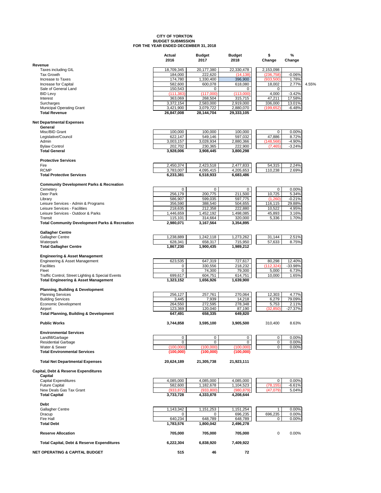# **CITY OF YORKTON BUDGET SUBMISSION FOR THE YEAR ENDED DECEMBER 31, 2018**

|                                                              | Actual<br>2016          | <b>Budget</b><br>2017   | <b>Budget</b><br>2018   | \$<br>Change        | %<br>Change         |       |
|--------------------------------------------------------------|-------------------------|-------------------------|-------------------------|---------------------|---------------------|-------|
| Revenue                                                      |                         |                         |                         |                     |                     |       |
| Taxes including GIL                                          | 18,709,345              | 20,177,380              | 22,330,478              | 2,153,098           |                     |       |
| <b>Tax Growth</b>                                            | 184,000                 | 222,620                 | (14, 138)               | (236, 758)          | $-0.06%$            |       |
| Increase to Taxes                                            | 174,780                 | 1,330,400               | 396,900                 | (933, 500)          | 1.78%               |       |
| Increase for Capital<br>Sale of General Land                 | 582,600<br>150,543      | 600,078<br>$\mathbf 0$  | 618,080<br>0            | 18,002<br>0         | 2.77%               | 4.55% |
| <b>BID Levy</b>                                              | (111, 383)              | (117.000)               | (113,000)               | 4,000               | $-3.42%$            |       |
| Interest                                                     | 363,069                 | 268,504                 | 315,715                 | 47,211              | 17.58%              |       |
| Surcharges                                                   | 3,372,154               | 2,583,000               | 2,919,000               | 336,000             | 13.01%              |       |
| <b>Municipal Operating Grant</b>                             | 3,421,900               | 3,079,722               | 2,880,070               | (199,652)           | $-6.48%$            |       |
| <b>Total Revenue</b>                                         | 26,847,008              | 28,144,704              | 29,333,105              |                     |                     |       |
| <b>Net Departmental Expenses</b>                             |                         |                         |                         |                     |                     |       |
| General                                                      |                         |                         |                         |                     |                     |       |
| Misc/BID Grant<br>Legislative/Council                        | 100,000                 | 100,000<br>549,146      | 100,000                 | 0<br>47,886         | 0.00%               |       |
| Admin                                                        | 622,147<br>3,003,157    | 3,028,934               | 597,032<br>2,880,366    | (148, 568)          | 8.72%<br>$-4.90%$   |       |
| <b>Bylaw Control</b>                                         | 202,702                 | 230,365                 | 222,900                 | (7, 465)            | $-3.24%$            |       |
| <b>Total General</b>                                         | 3,928,006               | 3,908,445               | 3,800,298               |                     |                     |       |
| <b>Protective Services</b>                                   |                         |                         |                         |                     |                     |       |
| Fire                                                         | 2,450,374               | 2,423,518               | 2,477,833               | 54,315              | 2.24%               |       |
| <b>RCMP</b>                                                  | 3,783,007               | 4,095,415               | 4,205,653               | 110,238             | 2.69%               |       |
| <b>Total Protective Services</b>                             | 6,233,381               | 6,518,933               | 6,683,486               |                     |                     |       |
| <b>Community Development Parks &amp; Recreation</b>          |                         |                         |                         |                     |                     |       |
| Cemetery<br>Deer Park                                        | 0<br>256,179            | 0<br>200.775            | 0<br>211,500            | 0<br>10,725         | 0.00%<br>5.34%      |       |
| Library                                                      | 586,907                 | 599,035                 | 597,775                 | (1,260)             | $-0.21%$            |       |
| Leisure Services - Admin & Programs                          | 356,590                 | 388,540                 | 504,655                 | 116,115             | 29.88%              |       |
| Leisure Services - Facilities                                | 218,635                 | 212,358                 | 222,880                 | 10,522              | 4.95%               |       |
| Leisure Services - Outdoor & Parks                           | 1,446,659               | 1,452,192               | 1,498,085               | 45,893              | 3.16%               |       |
| Transit                                                      | 115,101                 | 314,664                 | 320,000                 | 5,336               | 1.70%               |       |
| <b>Total Community Development Parks &amp; Recreation</b>    | 2,980,071               | 3,167,564               | 3,354,895               |                     |                     |       |
| <b>Gallagher Centre</b>                                      |                         |                         |                         |                     |                     |       |
| Gallagher Centre                                             | 1,238,889               | 1,242,118               | 1,273,262               | 31,144              | 2.51%               |       |
| Waterpark                                                    | 628,341<br>1,867,230    | 658,317<br>1,900,435    | 715,950                 | 57,633              | 8.75%               |       |
| <b>Total Gallagher Centre</b>                                |                         |                         | 1,989,212               |                     |                     |       |
| <b>Engineering &amp; Asset Management</b>                    |                         |                         |                         |                     |                     |       |
| Engineering & Asset Management<br><b>Facilities</b>          | 623,535<br>$\mathbf 0$  | 647,319                 | 727,617                 | 80,298              | 12.40%<br>$-33.98%$ |       |
| Fleet                                                        | 0                       | 330,556<br>74,300       | 218,232<br>79,300       | (112, 324)<br>5,000 | 6.73%               |       |
| Traffic Control, Street Lighting & Special Events            | 699,617                 | 604,751                 | 614,751                 | 10,000              | 1.65%               |       |
| <b>Total Engineering &amp; Asset Management</b>              | 1,323,152               | 1,656,926               | 1,639,900               |                     |                     |       |
| <b>Planning, Building &amp; Development</b>                  |                         |                         |                         |                     |                     |       |
| <b>Planning Services</b>                                     | 256,127                 | 257,761                 | 270,064                 | 12,303              | 4.77%               |       |
| <b>Building Services</b>                                     | 3,445                   | 7,939                   | 14,218                  | 6,279               | 79.09%              |       |
| Economic Development                                         | 264,550                 | 272,595                 | 278,348                 | 5,753               | 2.11%               |       |
| Airport<br><b>Total Planning, Building &amp; Development</b> | 123,369<br>647,491      | 120,040<br>658,335      | 87,190<br>649,820       | (32.850)            | $-27.37%$           |       |
| <b>Public Works</b>                                          | 3,744,858               | 3,595,100               | 3,905,500               | 310,400             | 8.63%               |       |
|                                                              |                         |                         |                         |                     |                     |       |
| <b>Environmental Services</b><br>Landfill/Garbage            | 0                       | 0                       | 0                       | 0                   | 0.00%               |       |
| <b>Residential Garbage</b>                                   | $\mathbf 0$             | $\mathbf 0$             | 0                       | 0                   | 0.00%               |       |
| Water & Sewer                                                | (100,000)               | (100.000)               | (100.000)               | 0                   | 0.00%               |       |
| <b>Total Environmental Services</b>                          | (100, 000)              | (100,000)               | (100,000)               |                     |                     |       |
| <b>Total Net Departmental Expenses</b>                       | 20,624,189              | 21,305,738              | 21,923,111              |                     |                     |       |
| Capital, Debt & Reserve Expenditures                         |                         |                         |                         |                     |                     |       |
| Capital                                                      |                         |                         |                         |                     |                     |       |
| <b>Capital Expenditures</b>                                  | 4,085,000               | 4,085,000               | 4,085,000               | 0                   | 0.00%               |       |
| <b>Future Capital</b>                                        | 582,600                 | 1,182,678               | 1,104,523               | (78, 155)           | $-6.61%$            |       |
| New Deals Gas Tax Grant<br><b>Total Capital</b>              | (933, 872)<br>3,733,728 | (933, 800)<br>4,333,878 | (980, 879)<br>4,208,644 | (47, 079)           | 5.04%               |       |
| Debt                                                         |                         |                         |                         |                     |                     |       |
| Gallagher Centre                                             | 1,143,342               | 1,151,253               | $\overline{1,}151,254$  | $\mathbf{1}$        | 0.00%               |       |
| Dracup                                                       | 0                       | 0                       | 696,235                 | 696,235             | 0.00%               |       |
| Fire Hall                                                    | 640,234                 | 648,789                 | 648,789                 | 0                   | 0.00%               |       |
| <b>Total Debt</b>                                            | 1,783,576               | 1,800,042               | 2,496,278               |                     |                     |       |
| <b>Reserve Allocation</b>                                    | 705,000                 | 705,000                 | 705,000                 | 0                   | 0.00%               |       |
| <b>Total Capital, Debt &amp; Reserve Expenditures</b>        | 6,222,304               | 6,838,920               | 7,409,922               |                     |                     |       |
| <b>NET OPERATING &amp; CAPITAL BUDGET</b>                    | 515                     | 46                      | 72                      |                     |                     |       |
|                                                              |                         |                         |                         |                     |                     |       |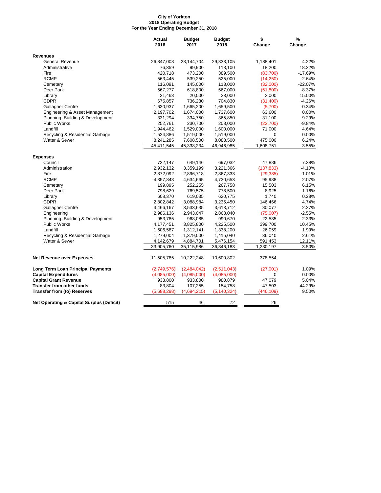#### **City of Yorkton 2018 Operating Budget For the Year Ending December 31, 2018**

| <b>Revenues</b><br><b>General Revenue</b><br>26,847,008<br>28,144,704<br>29,333,105<br>1,188,401<br>76,359<br>99,900<br>118,100<br>18,200<br>Administrative<br>420,718<br>Fire<br>473,200<br>389,500<br>(83,700)<br><b>RCMP</b><br>(14,250)<br>563,445<br>539,250<br>525,000<br>116,091<br>145,000<br>113,000<br>(32,000)<br>Cemetary<br>Deer Park<br>567,277<br>618,800<br>567,000<br>(51,800)<br>23,000<br>21,463<br>20,000<br>3,000<br>Library<br><b>CDPR</b><br>675,857<br>736,230<br>704,830<br>(31, 400)<br><b>Gallagher Centre</b><br>1,630,937<br>1,665,200<br>1,659,500<br>(5,700)<br>Engineering & Asset Management<br>2,197,702<br>1,674,000<br>1,737,600<br>63,600<br>Planning, Building & Development<br>31,100<br>331,294<br>334,750<br>365,850<br><b>Public Works</b><br>252,761<br>230,700<br>208,000<br>(22,700)<br>1,529,000<br>71,000<br>Landfill<br>1,944,462<br>1,600,000<br>Recycling & Residential Garbage<br>1,519,000<br>1,519,000<br>1,524,886<br>$\Omega$<br>Water & Sewer<br>475,000<br>8,241,285<br>7,608,500<br>8,083,500<br>45,411,545<br>45,338,234<br>46,946,985<br>1,608,751<br><b>Expenses</b><br>Council<br>722,147<br>697,032<br>47,886<br>649,146<br>Administration<br>2,932,132<br>3,359,199<br>3,221,366<br>(137, 833)<br>Fire<br>2,872,092<br>2,896,718<br>2,867,333<br>(29, 385)<br><b>RCMP</b><br>4,357,843<br>4,634,665<br>4,730,653<br>95,988<br>252,255<br>15,503<br>Cemetary<br>199,895<br>267,758<br>8,925<br>Deer Park<br>798,629<br>769,575<br>778,500<br>608,370<br>619,035<br>620,775<br>1,740<br>Library<br><b>CDPR</b><br>2,802,842<br>3,088,984<br>3,235,450<br>146,466<br>Gallagher Centre<br>3,533,635<br>3,613,712<br>80,077<br>3,466,167<br>2,986,136<br>2,943,047<br>2,868,040<br>(75,007)<br>Engineering<br>Planning, Building & Development<br>953,785<br>968,085<br>990,670<br>22,585<br><b>Public Works</b><br>399,700<br>4,177,451<br>3,825,800<br>4,225,500<br>Landfill<br>1,312,141<br>1,338,200<br>26,059<br>1,606,587<br>Recycling & Residential Garbage<br>1,279,004<br>1,379,000<br>1,415,040<br>36,040<br>Water & Sewer<br>4,142,679<br>4,884,701<br>5,476,154<br>591,453<br>33,905,760<br>35,115,986<br>1,230,197<br>36,346,183<br>10,600,802<br><b>Net Revenue over Expenses</b><br>11,505,785<br>10,222,248<br>378,554<br><b>Long Term Loan Principal Payments</b><br>(2,749,576)<br>(2,484,042)<br>(2,511,043)<br>(27,001)<br>$\mathbf 0$<br><b>Capital Expenditures</b><br>(4,085,000)<br>(4,085,000)<br>(4,085,000)<br><b>Capital Grant Revenue</b><br>47,079<br>933,800<br>933,800<br>980,879<br><b>Transfer from other funds</b><br>83,804<br>107,255<br>154,758<br>47,503<br><b>Transfer from (to) Reserves</b><br>(5,688,298)<br>(4,694,215)<br>(5, 140, 324)<br>(446, 109) |                                                      | <b>Actual</b><br>2016 | <b>Budget</b><br>2017 | <b>Budget</b><br>2018 | \$<br>Change | $\%$<br>Change |
|---------------------------------------------------------------------------------------------------------------------------------------------------------------------------------------------------------------------------------------------------------------------------------------------------------------------------------------------------------------------------------------------------------------------------------------------------------------------------------------------------------------------------------------------------------------------------------------------------------------------------------------------------------------------------------------------------------------------------------------------------------------------------------------------------------------------------------------------------------------------------------------------------------------------------------------------------------------------------------------------------------------------------------------------------------------------------------------------------------------------------------------------------------------------------------------------------------------------------------------------------------------------------------------------------------------------------------------------------------------------------------------------------------------------------------------------------------------------------------------------------------------------------------------------------------------------------------------------------------------------------------------------------------------------------------------------------------------------------------------------------------------------------------------------------------------------------------------------------------------------------------------------------------------------------------------------------------------------------------------------------------------------------------------------------------------------------------------------------------------------------------------------------------------------------------------------------------------------------------------------------------------------------------------------------------------------------------------------------------------------------------------------------------------------------------------------------------------------------------------------------------------------------------------------------------------------------------------------------------------------------------------------------------------------------------------------------------------------------------------------------------------|------------------------------------------------------|-----------------------|-----------------------|-----------------------|--------------|----------------|
|                                                                                                                                                                                                                                                                                                                                                                                                                                                                                                                                                                                                                                                                                                                                                                                                                                                                                                                                                                                                                                                                                                                                                                                                                                                                                                                                                                                                                                                                                                                                                                                                                                                                                                                                                                                                                                                                                                                                                                                                                                                                                                                                                                                                                                                                                                                                                                                                                                                                                                                                                                                                                                                                                                                                                               |                                                      |                       |                       |                       |              |                |
|                                                                                                                                                                                                                                                                                                                                                                                                                                                                                                                                                                                                                                                                                                                                                                                                                                                                                                                                                                                                                                                                                                                                                                                                                                                                                                                                                                                                                                                                                                                                                                                                                                                                                                                                                                                                                                                                                                                                                                                                                                                                                                                                                                                                                                                                                                                                                                                                                                                                                                                                                                                                                                                                                                                                                               |                                                      |                       |                       |                       |              | 4.22%          |
|                                                                                                                                                                                                                                                                                                                                                                                                                                                                                                                                                                                                                                                                                                                                                                                                                                                                                                                                                                                                                                                                                                                                                                                                                                                                                                                                                                                                                                                                                                                                                                                                                                                                                                                                                                                                                                                                                                                                                                                                                                                                                                                                                                                                                                                                                                                                                                                                                                                                                                                                                                                                                                                                                                                                                               |                                                      |                       |                       |                       |              | 18.22%         |
|                                                                                                                                                                                                                                                                                                                                                                                                                                                                                                                                                                                                                                                                                                                                                                                                                                                                                                                                                                                                                                                                                                                                                                                                                                                                                                                                                                                                                                                                                                                                                                                                                                                                                                                                                                                                                                                                                                                                                                                                                                                                                                                                                                                                                                                                                                                                                                                                                                                                                                                                                                                                                                                                                                                                                               |                                                      |                       |                       |                       |              | $-17.69%$      |
|                                                                                                                                                                                                                                                                                                                                                                                                                                                                                                                                                                                                                                                                                                                                                                                                                                                                                                                                                                                                                                                                                                                                                                                                                                                                                                                                                                                                                                                                                                                                                                                                                                                                                                                                                                                                                                                                                                                                                                                                                                                                                                                                                                                                                                                                                                                                                                                                                                                                                                                                                                                                                                                                                                                                                               |                                                      |                       |                       |                       |              | $-2.64%$       |
|                                                                                                                                                                                                                                                                                                                                                                                                                                                                                                                                                                                                                                                                                                                                                                                                                                                                                                                                                                                                                                                                                                                                                                                                                                                                                                                                                                                                                                                                                                                                                                                                                                                                                                                                                                                                                                                                                                                                                                                                                                                                                                                                                                                                                                                                                                                                                                                                                                                                                                                                                                                                                                                                                                                                                               |                                                      |                       |                       |                       |              | $-22.07%$      |
|                                                                                                                                                                                                                                                                                                                                                                                                                                                                                                                                                                                                                                                                                                                                                                                                                                                                                                                                                                                                                                                                                                                                                                                                                                                                                                                                                                                                                                                                                                                                                                                                                                                                                                                                                                                                                                                                                                                                                                                                                                                                                                                                                                                                                                                                                                                                                                                                                                                                                                                                                                                                                                                                                                                                                               |                                                      |                       |                       |                       |              | $-8.37%$       |
|                                                                                                                                                                                                                                                                                                                                                                                                                                                                                                                                                                                                                                                                                                                                                                                                                                                                                                                                                                                                                                                                                                                                                                                                                                                                                                                                                                                                                                                                                                                                                                                                                                                                                                                                                                                                                                                                                                                                                                                                                                                                                                                                                                                                                                                                                                                                                                                                                                                                                                                                                                                                                                                                                                                                                               |                                                      |                       |                       |                       |              | 15.00%         |
|                                                                                                                                                                                                                                                                                                                                                                                                                                                                                                                                                                                                                                                                                                                                                                                                                                                                                                                                                                                                                                                                                                                                                                                                                                                                                                                                                                                                                                                                                                                                                                                                                                                                                                                                                                                                                                                                                                                                                                                                                                                                                                                                                                                                                                                                                                                                                                                                                                                                                                                                                                                                                                                                                                                                                               |                                                      |                       |                       |                       |              | $-4.26%$       |
|                                                                                                                                                                                                                                                                                                                                                                                                                                                                                                                                                                                                                                                                                                                                                                                                                                                                                                                                                                                                                                                                                                                                                                                                                                                                                                                                                                                                                                                                                                                                                                                                                                                                                                                                                                                                                                                                                                                                                                                                                                                                                                                                                                                                                                                                                                                                                                                                                                                                                                                                                                                                                                                                                                                                                               |                                                      |                       |                       |                       |              | $-0.34%$       |
|                                                                                                                                                                                                                                                                                                                                                                                                                                                                                                                                                                                                                                                                                                                                                                                                                                                                                                                                                                                                                                                                                                                                                                                                                                                                                                                                                                                                                                                                                                                                                                                                                                                                                                                                                                                                                                                                                                                                                                                                                                                                                                                                                                                                                                                                                                                                                                                                                                                                                                                                                                                                                                                                                                                                                               |                                                      |                       |                       |                       |              | 0.00%          |
|                                                                                                                                                                                                                                                                                                                                                                                                                                                                                                                                                                                                                                                                                                                                                                                                                                                                                                                                                                                                                                                                                                                                                                                                                                                                                                                                                                                                                                                                                                                                                                                                                                                                                                                                                                                                                                                                                                                                                                                                                                                                                                                                                                                                                                                                                                                                                                                                                                                                                                                                                                                                                                                                                                                                                               |                                                      |                       |                       |                       |              | 9.29%          |
|                                                                                                                                                                                                                                                                                                                                                                                                                                                                                                                                                                                                                                                                                                                                                                                                                                                                                                                                                                                                                                                                                                                                                                                                                                                                                                                                                                                                                                                                                                                                                                                                                                                                                                                                                                                                                                                                                                                                                                                                                                                                                                                                                                                                                                                                                                                                                                                                                                                                                                                                                                                                                                                                                                                                                               |                                                      |                       |                       |                       |              | $-9.84%$       |
|                                                                                                                                                                                                                                                                                                                                                                                                                                                                                                                                                                                                                                                                                                                                                                                                                                                                                                                                                                                                                                                                                                                                                                                                                                                                                                                                                                                                                                                                                                                                                                                                                                                                                                                                                                                                                                                                                                                                                                                                                                                                                                                                                                                                                                                                                                                                                                                                                                                                                                                                                                                                                                                                                                                                                               |                                                      |                       |                       |                       |              | 4.64%          |
|                                                                                                                                                                                                                                                                                                                                                                                                                                                                                                                                                                                                                                                                                                                                                                                                                                                                                                                                                                                                                                                                                                                                                                                                                                                                                                                                                                                                                                                                                                                                                                                                                                                                                                                                                                                                                                                                                                                                                                                                                                                                                                                                                                                                                                                                                                                                                                                                                                                                                                                                                                                                                                                                                                                                                               |                                                      |                       |                       |                       |              | 0.00%          |
|                                                                                                                                                                                                                                                                                                                                                                                                                                                                                                                                                                                                                                                                                                                                                                                                                                                                                                                                                                                                                                                                                                                                                                                                                                                                                                                                                                                                                                                                                                                                                                                                                                                                                                                                                                                                                                                                                                                                                                                                                                                                                                                                                                                                                                                                                                                                                                                                                                                                                                                                                                                                                                                                                                                                                               |                                                      |                       |                       |                       |              | 6.24%          |
|                                                                                                                                                                                                                                                                                                                                                                                                                                                                                                                                                                                                                                                                                                                                                                                                                                                                                                                                                                                                                                                                                                                                                                                                                                                                                                                                                                                                                                                                                                                                                                                                                                                                                                                                                                                                                                                                                                                                                                                                                                                                                                                                                                                                                                                                                                                                                                                                                                                                                                                                                                                                                                                                                                                                                               |                                                      |                       |                       |                       |              | 3.55%          |
|                                                                                                                                                                                                                                                                                                                                                                                                                                                                                                                                                                                                                                                                                                                                                                                                                                                                                                                                                                                                                                                                                                                                                                                                                                                                                                                                                                                                                                                                                                                                                                                                                                                                                                                                                                                                                                                                                                                                                                                                                                                                                                                                                                                                                                                                                                                                                                                                                                                                                                                                                                                                                                                                                                                                                               |                                                      |                       |                       |                       |              |                |
|                                                                                                                                                                                                                                                                                                                                                                                                                                                                                                                                                                                                                                                                                                                                                                                                                                                                                                                                                                                                                                                                                                                                                                                                                                                                                                                                                                                                                                                                                                                                                                                                                                                                                                                                                                                                                                                                                                                                                                                                                                                                                                                                                                                                                                                                                                                                                                                                                                                                                                                                                                                                                                                                                                                                                               |                                                      |                       |                       |                       |              | 7.38%          |
|                                                                                                                                                                                                                                                                                                                                                                                                                                                                                                                                                                                                                                                                                                                                                                                                                                                                                                                                                                                                                                                                                                                                                                                                                                                                                                                                                                                                                                                                                                                                                                                                                                                                                                                                                                                                                                                                                                                                                                                                                                                                                                                                                                                                                                                                                                                                                                                                                                                                                                                                                                                                                                                                                                                                                               |                                                      |                       |                       |                       |              | $-4.10%$       |
|                                                                                                                                                                                                                                                                                                                                                                                                                                                                                                                                                                                                                                                                                                                                                                                                                                                                                                                                                                                                                                                                                                                                                                                                                                                                                                                                                                                                                                                                                                                                                                                                                                                                                                                                                                                                                                                                                                                                                                                                                                                                                                                                                                                                                                                                                                                                                                                                                                                                                                                                                                                                                                                                                                                                                               |                                                      |                       |                       |                       |              | $-1.01%$       |
|                                                                                                                                                                                                                                                                                                                                                                                                                                                                                                                                                                                                                                                                                                                                                                                                                                                                                                                                                                                                                                                                                                                                                                                                                                                                                                                                                                                                                                                                                                                                                                                                                                                                                                                                                                                                                                                                                                                                                                                                                                                                                                                                                                                                                                                                                                                                                                                                                                                                                                                                                                                                                                                                                                                                                               |                                                      |                       |                       |                       |              | 2.07%          |
|                                                                                                                                                                                                                                                                                                                                                                                                                                                                                                                                                                                                                                                                                                                                                                                                                                                                                                                                                                                                                                                                                                                                                                                                                                                                                                                                                                                                                                                                                                                                                                                                                                                                                                                                                                                                                                                                                                                                                                                                                                                                                                                                                                                                                                                                                                                                                                                                                                                                                                                                                                                                                                                                                                                                                               |                                                      |                       |                       |                       |              | 6.15%          |
|                                                                                                                                                                                                                                                                                                                                                                                                                                                                                                                                                                                                                                                                                                                                                                                                                                                                                                                                                                                                                                                                                                                                                                                                                                                                                                                                                                                                                                                                                                                                                                                                                                                                                                                                                                                                                                                                                                                                                                                                                                                                                                                                                                                                                                                                                                                                                                                                                                                                                                                                                                                                                                                                                                                                                               |                                                      |                       |                       |                       |              | 1.16%          |
|                                                                                                                                                                                                                                                                                                                                                                                                                                                                                                                                                                                                                                                                                                                                                                                                                                                                                                                                                                                                                                                                                                                                                                                                                                                                                                                                                                                                                                                                                                                                                                                                                                                                                                                                                                                                                                                                                                                                                                                                                                                                                                                                                                                                                                                                                                                                                                                                                                                                                                                                                                                                                                                                                                                                                               |                                                      |                       |                       |                       |              | 0.28%          |
|                                                                                                                                                                                                                                                                                                                                                                                                                                                                                                                                                                                                                                                                                                                                                                                                                                                                                                                                                                                                                                                                                                                                                                                                                                                                                                                                                                                                                                                                                                                                                                                                                                                                                                                                                                                                                                                                                                                                                                                                                                                                                                                                                                                                                                                                                                                                                                                                                                                                                                                                                                                                                                                                                                                                                               |                                                      |                       |                       |                       |              | 4.74%          |
|                                                                                                                                                                                                                                                                                                                                                                                                                                                                                                                                                                                                                                                                                                                                                                                                                                                                                                                                                                                                                                                                                                                                                                                                                                                                                                                                                                                                                                                                                                                                                                                                                                                                                                                                                                                                                                                                                                                                                                                                                                                                                                                                                                                                                                                                                                                                                                                                                                                                                                                                                                                                                                                                                                                                                               |                                                      |                       |                       |                       |              | 2.27%          |
|                                                                                                                                                                                                                                                                                                                                                                                                                                                                                                                                                                                                                                                                                                                                                                                                                                                                                                                                                                                                                                                                                                                                                                                                                                                                                                                                                                                                                                                                                                                                                                                                                                                                                                                                                                                                                                                                                                                                                                                                                                                                                                                                                                                                                                                                                                                                                                                                                                                                                                                                                                                                                                                                                                                                                               |                                                      |                       |                       |                       |              | $-2.55%$       |
|                                                                                                                                                                                                                                                                                                                                                                                                                                                                                                                                                                                                                                                                                                                                                                                                                                                                                                                                                                                                                                                                                                                                                                                                                                                                                                                                                                                                                                                                                                                                                                                                                                                                                                                                                                                                                                                                                                                                                                                                                                                                                                                                                                                                                                                                                                                                                                                                                                                                                                                                                                                                                                                                                                                                                               |                                                      |                       |                       |                       |              | 2.33%          |
|                                                                                                                                                                                                                                                                                                                                                                                                                                                                                                                                                                                                                                                                                                                                                                                                                                                                                                                                                                                                                                                                                                                                                                                                                                                                                                                                                                                                                                                                                                                                                                                                                                                                                                                                                                                                                                                                                                                                                                                                                                                                                                                                                                                                                                                                                                                                                                                                                                                                                                                                                                                                                                                                                                                                                               |                                                      |                       |                       |                       |              | 10.45%         |
|                                                                                                                                                                                                                                                                                                                                                                                                                                                                                                                                                                                                                                                                                                                                                                                                                                                                                                                                                                                                                                                                                                                                                                                                                                                                                                                                                                                                                                                                                                                                                                                                                                                                                                                                                                                                                                                                                                                                                                                                                                                                                                                                                                                                                                                                                                                                                                                                                                                                                                                                                                                                                                                                                                                                                               |                                                      |                       |                       |                       |              | 1.99%          |
|                                                                                                                                                                                                                                                                                                                                                                                                                                                                                                                                                                                                                                                                                                                                                                                                                                                                                                                                                                                                                                                                                                                                                                                                                                                                                                                                                                                                                                                                                                                                                                                                                                                                                                                                                                                                                                                                                                                                                                                                                                                                                                                                                                                                                                                                                                                                                                                                                                                                                                                                                                                                                                                                                                                                                               |                                                      |                       |                       |                       |              | 2.61%          |
|                                                                                                                                                                                                                                                                                                                                                                                                                                                                                                                                                                                                                                                                                                                                                                                                                                                                                                                                                                                                                                                                                                                                                                                                                                                                                                                                                                                                                                                                                                                                                                                                                                                                                                                                                                                                                                                                                                                                                                                                                                                                                                                                                                                                                                                                                                                                                                                                                                                                                                                                                                                                                                                                                                                                                               |                                                      |                       |                       |                       |              | 12.11%         |
|                                                                                                                                                                                                                                                                                                                                                                                                                                                                                                                                                                                                                                                                                                                                                                                                                                                                                                                                                                                                                                                                                                                                                                                                                                                                                                                                                                                                                                                                                                                                                                                                                                                                                                                                                                                                                                                                                                                                                                                                                                                                                                                                                                                                                                                                                                                                                                                                                                                                                                                                                                                                                                                                                                                                                               |                                                      |                       |                       |                       |              | 3.50%          |
|                                                                                                                                                                                                                                                                                                                                                                                                                                                                                                                                                                                                                                                                                                                                                                                                                                                                                                                                                                                                                                                                                                                                                                                                                                                                                                                                                                                                                                                                                                                                                                                                                                                                                                                                                                                                                                                                                                                                                                                                                                                                                                                                                                                                                                                                                                                                                                                                                                                                                                                                                                                                                                                                                                                                                               |                                                      |                       |                       |                       |              |                |
|                                                                                                                                                                                                                                                                                                                                                                                                                                                                                                                                                                                                                                                                                                                                                                                                                                                                                                                                                                                                                                                                                                                                                                                                                                                                                                                                                                                                                                                                                                                                                                                                                                                                                                                                                                                                                                                                                                                                                                                                                                                                                                                                                                                                                                                                                                                                                                                                                                                                                                                                                                                                                                                                                                                                                               |                                                      |                       |                       |                       |              | 1.09%          |
|                                                                                                                                                                                                                                                                                                                                                                                                                                                                                                                                                                                                                                                                                                                                                                                                                                                                                                                                                                                                                                                                                                                                                                                                                                                                                                                                                                                                                                                                                                                                                                                                                                                                                                                                                                                                                                                                                                                                                                                                                                                                                                                                                                                                                                                                                                                                                                                                                                                                                                                                                                                                                                                                                                                                                               |                                                      |                       |                       |                       |              | 0.00%          |
|                                                                                                                                                                                                                                                                                                                                                                                                                                                                                                                                                                                                                                                                                                                                                                                                                                                                                                                                                                                                                                                                                                                                                                                                                                                                                                                                                                                                                                                                                                                                                                                                                                                                                                                                                                                                                                                                                                                                                                                                                                                                                                                                                                                                                                                                                                                                                                                                                                                                                                                                                                                                                                                                                                                                                               |                                                      |                       |                       |                       |              | 5.04%          |
|                                                                                                                                                                                                                                                                                                                                                                                                                                                                                                                                                                                                                                                                                                                                                                                                                                                                                                                                                                                                                                                                                                                                                                                                                                                                                                                                                                                                                                                                                                                                                                                                                                                                                                                                                                                                                                                                                                                                                                                                                                                                                                                                                                                                                                                                                                                                                                                                                                                                                                                                                                                                                                                                                                                                                               |                                                      |                       |                       |                       |              | 44.29%         |
|                                                                                                                                                                                                                                                                                                                                                                                                                                                                                                                                                                                                                                                                                                                                                                                                                                                                                                                                                                                                                                                                                                                                                                                                                                                                                                                                                                                                                                                                                                                                                                                                                                                                                                                                                                                                                                                                                                                                                                                                                                                                                                                                                                                                                                                                                                                                                                                                                                                                                                                                                                                                                                                                                                                                                               |                                                      |                       |                       |                       |              | 9.50%          |
|                                                                                                                                                                                                                                                                                                                                                                                                                                                                                                                                                                                                                                                                                                                                                                                                                                                                                                                                                                                                                                                                                                                                                                                                                                                                                                                                                                                                                                                                                                                                                                                                                                                                                                                                                                                                                                                                                                                                                                                                                                                                                                                                                                                                                                                                                                                                                                                                                                                                                                                                                                                                                                                                                                                                                               | <b>Net Operating &amp; Capital Surplus (Deficit)</b> | 515                   | 46                    | 72                    | 26           |                |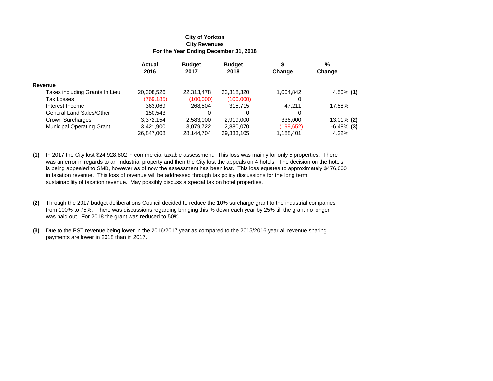#### **For the Year Ending December 31, 2018 City Revenues City of Yorkton**

|                                  | <b>Actual</b><br>2016 | <b>Budget</b><br>2017 | <b>Budget</b><br>2018 | Change    | %<br>Change   |
|----------------------------------|-----------------------|-----------------------|-----------------------|-----------|---------------|
| Revenue                          |                       |                       |                       |           |               |
| Taxes including Grants In Lieu   | 20,308,526            | 22,313,478            | 23,318,320            | 1,004,842 | $4.50\%$ (1)  |
| Tax Losses                       | (769, 185)            | (100,000)             | (100,000)             | 0         |               |
| Interest Income                  | 363,069               | 268,504               | 315.715               | 47.211    | 17.58%        |
| General Land Sales/Other         | 150,543               | 0                     |                       | 0         |               |
| Crown Surcharges                 | 3,372,154             | 2,583,000             | 2,919,000             | 336,000   | 13.01% (2)    |
| <b>Municipal Operating Grant</b> | 3,421,900             | 3,079,722             | 2,880,070             | (199,652) | $-6.48\%$ (3) |
|                                  | 26,847,008            | 28,144,704            | 29,333,105            | 1,188,401 | 4.22%         |

- **(1)** In 2017 the City lost \$24,928,802 in commercial taxable assessment. This loss was mainly for only 5 properties. There was an error in regards to an Industrial property and then the City lost the appeals on 4 hotels. The decision on the hotels is being appealed to SMB, however as of now the assessment has been lost. This loss equates to approximately \$476,000 in taxation revenue. This loss of revenue will be addressed through tax policy discussions for the long term sustainability of taxation revenue. May possibly discuss a special tax on hotel properties.
- **(2)** Through the 2017 budget deliberations Council decided to reduce the 10% surcharge grant to the industrial companies from 100% to 75%. There was discussions regarding bringing this % down each year by 25% till the grant no longer was paid out. For 2018 the grant was reduced to 50%.
- **(3)** Due to the PST revenue being lower in the 2016/2017 year as compared to the 2015/2016 year all revenue sharing payments are lower in 2018 than in 2017.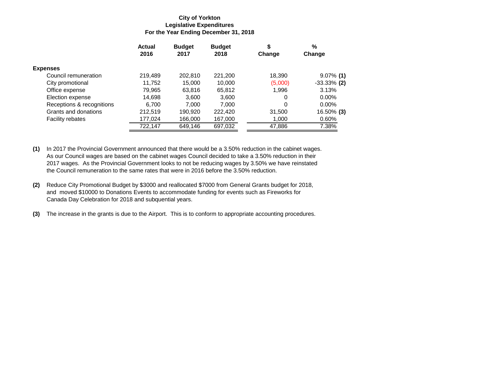#### **For the Year Ending December 31, 2018 Legislative Expenditures City of Yorkton**

|                           | <b>Actual</b><br>2016 | <b>Budget</b><br>2017 | <b>Budget</b><br>2018 | \$<br>Change | %<br>Change    |
|---------------------------|-----------------------|-----------------------|-----------------------|--------------|----------------|
|                           |                       |                       |                       |              |                |
| <b>Expenses</b>           |                       |                       |                       |              |                |
| Council remuneration      | 219,489               | 202.810               | 221,200               | 18,390       | $9.07\%$ (1)   |
| City promotional          | 11,752                | 15,000                | 10,000                | (5,000)      | $-33.33\%$ (2) |
| Office expense            | 79,965                | 63,816                | 65,812                | 1,996        | 3.13%          |
| Election expense          | 14,698                | 3.600                 | 3.600                 | 0            | $0.00\%$       |
| Receptions & recognitions | 6.700                 | 7.000                 | 7.000                 | 0            | $0.00\%$       |
| Grants and donations      | 212,519               | 190,920               | 222,420               | 31,500       | 16.50% (3)     |
| <b>Facility rebates</b>   | 177,024               | 166,000               | 167,000               | 1,000        | 0.60%          |
|                           | 722,147               | 649,146               | 697,032               | 47,886       | 7.38%          |

**(1)** In 2017 the Provincial Government announced that there would be a 3.50% reduction in the cabinet wages. As our Council wages are based on the cabinet wages Council decided to take a 3.50% reduction in their 2017 wages. As the Provincial Government looks to not be reducing wages by 3.50% we have reinstated the Council remuneration to the same rates that were in 2016 before the 3.50% reduction.

- **(2)** Reduce City Promotional Budget by \$3000 and reallocated \$7000 from General Grants budget for 2018, and moved \$10000 to Donations Events to accommodate funding for events such as Fireworks for Canada Day Celebration for 2018 and subquential years.
- **(3)** The increase in the grants is due to the Airport. This is to conform to appropriate accounting procedures.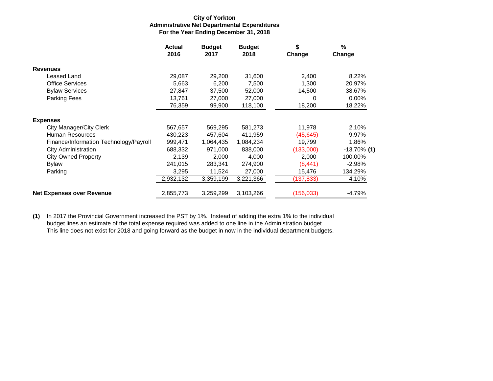#### **For the Year Ending December 31, 2018 Administrative Net Departmental Expenditures City of Yorkton**

|                                        | <b>Actual</b><br>2016 | <b>Budget</b><br>2017 | <b>Budget</b><br>2018 | \$<br>Change | $\frac{0}{0}$<br>Change |
|----------------------------------------|-----------------------|-----------------------|-----------------------|--------------|-------------------------|
| <b>Revenues</b>                        |                       |                       |                       |              |                         |
| Leased Land                            | 29,087                | 29,200                | 31,600                | 2,400        | 8.22%                   |
| <b>Office Services</b>                 | 5,663                 | 6,200                 | 7,500                 | 1,300        | 20.97%                  |
| <b>Bylaw Services</b>                  | 27,847                | 37,500                | 52,000                | 14,500       | 38.67%                  |
| Parking Fees                           | 13,761                | 27,000                | 27,000                | 0            | $0.00\%$                |
|                                        | 76,359                | 99,900                | 118,100               | 18,200       | 18.22%                  |
| <b>Expenses</b>                        |                       |                       |                       |              |                         |
| City Manager/City Clerk                | 567,657               | 569,295               | 581,273               | 11,978       | 2.10%                   |
| Human Resources                        | 430,223               | 457,604               | 411,959               | (45, 645)    | $-9.97%$                |
| Finance/Information Technology/Payroll | 999,471               | 1,064,435             | 1,084,234             | 19,799       | 1.86%                   |
| <b>City Administration</b>             | 688,332               | 971,000               | 838,000               | (133,000)    | $-13.70\%$ (1)          |
| <b>City Owned Property</b>             | 2.139                 | 2,000                 | 4.000                 | 2,000        | 100.00%                 |
| Bylaw                                  | 241,015               | 283,341               | 274,900               | (8, 441)     | $-2.98%$                |
| Parking                                | 3,295                 | 11,524                | 27,000                | 15,476       | 134.29%                 |
|                                        | 2,932,132             | 3,359,199             | 3,221,366             | (137, 833)   | $-4.10%$                |
| <b>Net Expenses over Revenue</b>       | 2,855,773             | 3,259,299             | 3,103,266             | (156, 033)   | $-4.79%$                |

**(1)** In 2017 the Provincial Government increased the PST by 1%. Instead of adding the extra 1% to the individual budget lines an estimate of the total expense required was added to one line in the Administration budget. This line does not exist for 2018 and going forward as the budget in now in the individual department budgets.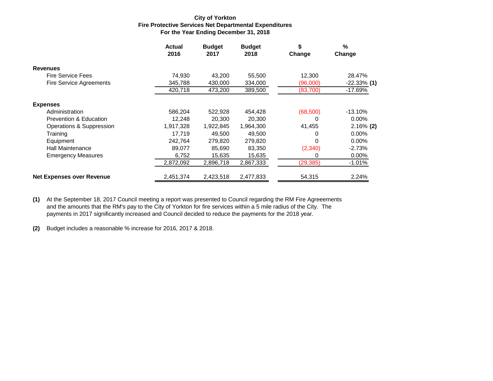#### **For the Year Ending December 31, 2018 Fire Protective Services Net Departmental Expenditures City of Yorkton**

|                                  | <b>Actual</b><br>2016 | <b>Budget</b><br>2017 | <b>Budget</b><br>2018 | \$<br>Change | %<br>Change    |
|----------------------------------|-----------------------|-----------------------|-----------------------|--------------|----------------|
| <b>Revenues</b>                  |                       |                       |                       |              |                |
| <b>Fire Service Fees</b>         | 74,930                | 43,200                | 55,500                | 12,300       | 28.47%         |
| <b>Fire Service Agreements</b>   | 345,788               | 430,000               | 334,000               | (96,000)     | $-22.33\%$ (1) |
|                                  | 420,718               | 473,200               | 389,500               | (83,700)     | $-17.69%$      |
| <b>Expenses</b>                  |                       |                       |                       |              |                |
| Administration                   | 586.204               | 522.928               | 454,428               | (68, 500)    | $-13.10%$      |
| Prevention & Education           | 12,248                | 20,300                | 20,300                | 0            | $0.00\%$       |
| Operations & Suppression         | 1,917,328             | 1,922,845             | 1,964,300             | 41,455       | $2.16\%$ (2)   |
| Training                         | 17.719                | 49.500                | 49.500                | 0            | $0.00\%$       |
| Equipment                        | 242.764               | 279,820               | 279,820               | 0            | $0.00\%$       |
| <b>Hall Maintenance</b>          | 89.077                | 85,690                | 83,350                | (2,340)      | $-2.73%$       |
| <b>Emergency Measures</b>        | 6,752                 | 15,635                | 15,635                | O            | $0.00\%$       |
|                                  | 2,872,092             | 2,896,718             | 2,867,333             | (29, 385)    | $-1.01%$       |
| <b>Net Expenses over Revenue</b> | 2,451,374             | 2,423,518             | 2,477,833             | 54,315       | 2.24%          |

**(1)** At the September 18, 2017 Council meeting a report was presented to Council regarding the RM Fire Agreeements and the amounts that the RM's pay to the City of Yorkton for fire services within a 5 mile radius of the City. The payments in 2017 significantly increased and Council decided to reduce the payments for the 2018 year.

**(2)** Budget includes a reasonable % increase for 2016, 2017 & 2018.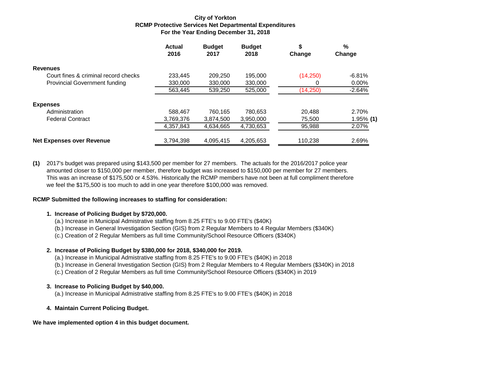#### **For the Year Ending December 31, 2018 RCMP Protective Services Net Departmental Expenditures City of Yorkton**

|                                      | <b>Actual</b><br>2016 | <b>Budget</b><br>2017 | <b>Budget</b><br>2018 | \$<br>Change | %<br>Change  |
|--------------------------------------|-----------------------|-----------------------|-----------------------|--------------|--------------|
| <b>Revenues</b>                      |                       |                       |                       |              |              |
| Court fines & criminal record checks | 233.445               | 209.250               | 195.000               | (14,250)     | $-6.81%$     |
| <b>Provincial Government funding</b> | 330,000               | 330,000               | 330,000               |              | $0.00\%$     |
|                                      | 563,445               | 539,250               | 525,000               | (14,250)     | $-2.64%$     |
| <b>Expenses</b>                      |                       |                       |                       |              |              |
| Administration                       | 588.467               | 760.165               | 780.653               | 20.488       | 2.70%        |
| <b>Federal Contract</b>              | 3,769,376             | 3,874,500             | 3.950.000             | 75.500       | $1.95\%$ (1) |
|                                      | 4,357,843             | 4,634,665             | 4,730,653             | 95,988       | 2.07%        |
| <b>Net Expenses over Revenue</b>     | 3,794,398             | 4,095,415             | 4,205,653             | 110,238      | 2.69%        |

**(1)** 2017's budget was prepared using \$143,500 per member for 27 members. The actuals for the 2016/2017 police year amounted closer to \$150,000 per member, therefore budget was increased to \$150,000 per member for 27 members. This was an increase of \$175,500 or 4.53%. Historically the RCMP members have not been at full compliment therefore we feel the \$175,500 is too much to add in one year therefore \$100,000 was removed.

#### **RCMP Submitted the following increases to staffing for consideration:**

#### **1. Increase of Policing Budget by \$720,000.**

- (a.) Increase in Municipal Admistrative staffing from 8.25 FTE's to 9.00 FTE's (\$40K)
- (b.) Increase in General Investigation Section (GIS) from 2 Regular Members to 4 Regular Members (\$340K)
- (c.) Creation of 2 Regular Members as full time Community/School Resource Officers (\$340K)

#### **2. Increase of Policing Budget by \$380,000 for 2018, \$340,000 for 2019.**

- (a.) Increase in Municipal Admistrative staffing from 8.25 FTE's to 9.00 FTE's (\$40K) in 2018
- (b.) Increase in General Investigation Section (GIS) from 2 Regular Members to 4 Regular Members (\$340K) in 2018
- (c.) Creation of 2 Regular Members as full time Community/School Resource Officers (\$340K) in 2019

#### **3. Increase to Policing Budget by \$40,000.**

(a.) Increase in Municipal Admistrative staffing from 8.25 FTE's to 9.00 FTE's (\$40K) in 2018

#### **4. Maintain Current Policing Budget.**

**We have implemented option 4 in this budget document.**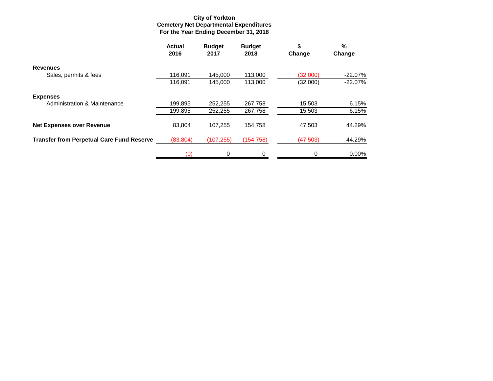#### **For the Year Ending December 31, 2018 Cemetery Net Departmental Expenditures City of Yorkton**

|                                                  | <b>Actual</b><br>2016 | <b>Budget</b><br>2017 | <b>Budget</b><br>2018 | \$<br>Change | %<br>Change |
|--------------------------------------------------|-----------------------|-----------------------|-----------------------|--------------|-------------|
| <b>Revenues</b>                                  |                       |                       |                       |              |             |
| Sales, permits & fees                            | 116.091               | 145.000               | 113,000               | (32,000)     | $-22.07%$   |
|                                                  | 116,091               | 145,000               | 113,000               | (32,000)     | $-22.07%$   |
| <b>Expenses</b>                                  |                       |                       |                       |              |             |
| Administration & Maintenance                     | 199,895               | 252,255               | 267,758               | 15,503       | 6.15%       |
|                                                  | 199,895               | 252,255               | 267,758               | 15,503       | 6.15%       |
| <b>Net Expenses over Revenue</b>                 | 83.804                | 107.255               | 154,758               | 47,503       | 44.29%      |
| <b>Transfer from Perpetual Care Fund Reserve</b> | (83, 804)             | (107, 255)            | (154, 758)            | (47, 503)    | 44.29%      |
|                                                  | (0)                   | $\Omega$              | 0                     | 0            | $0.00\%$    |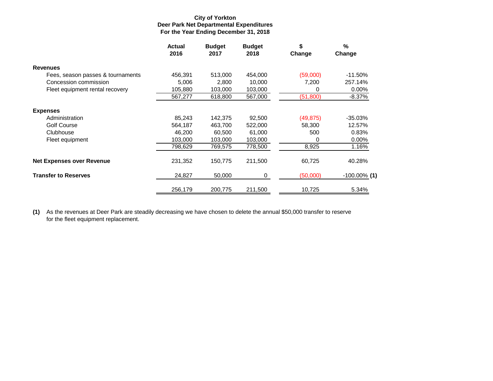#### **For the Year Ending December 31, 2018 Deer Park Net Departmental Expenditures City of Yorkton**

|                                   | <b>Actual</b><br>2016 | <b>Budget</b><br>2017 | <b>Budget</b><br>2018 | \$<br>Change | $\%$<br>Change  |
|-----------------------------------|-----------------------|-----------------------|-----------------------|--------------|-----------------|
| <b>Revenues</b>                   |                       |                       |                       |              |                 |
| Fees, season passes & tournaments | 456,391               | 513,000               | 454,000               | (59,000)     | $-11.50\%$      |
| Concession commission             | 5,006                 | 2,800                 | 10,000                | 7,200        | 257.14%         |
| Fleet equipment rental recovery   | 105,880               | 103,000               | 103,000               | 0            | 0.00%           |
|                                   | 567,277               | 618,800               | 567,000               | (51, 800)    | -8.37%          |
| <b>Expenses</b>                   |                       |                       |                       |              |                 |
| Administration                    | 85,243                | 142,375               | 92,500                | (49,875)     | $-35.03%$       |
| Golf Course                       | 564,187               | 463,700               | 522,000               | 58,300       | 12.57%          |
| Clubhouse                         | 46,200                | 60,500                | 61,000                | 500          | 0.83%           |
| Fleet equipment                   | 103,000               | 103,000               | 103,000               | 0            | 0.00%           |
|                                   | 798,629               | 769,575               | 778,500               | 8,925        | 1.16%           |
| <b>Net Expenses over Revenue</b>  | 231,352               | 150,775               | 211,500               | 60,725       | 40.28%          |
| <b>Transfer to Reserves</b>       | 24,827                | 50,000                | 0                     | (50,000)     | $-100.00\%$ (1) |
|                                   | 256,179               | 200,775               | 211,500               | 10,725       | 5.34%           |

**(1)** As the revenues at Deer Park are steadily decreasing we have chosen to delete the annual \$50,000 transfer to reserve for the fleet equipment replacement.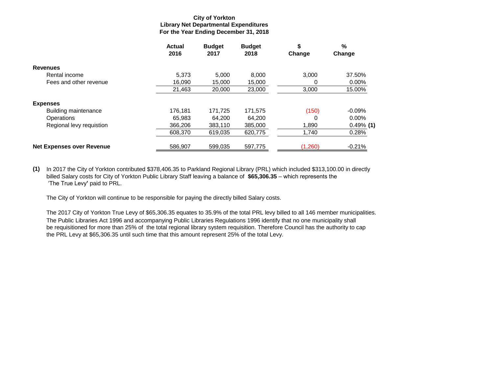#### **For the Year Ending December 31, 2018 Library Net Departmental Expenditures City of Yorkton**

|                                  | <b>Actual</b><br>2016 | <b>Budget</b><br>2017 | <b>Budget</b><br>2018 | \$<br>Change | %<br>Change  |
|----------------------------------|-----------------------|-----------------------|-----------------------|--------------|--------------|
| <b>Revenues</b>                  |                       |                       |                       |              |              |
| Rental income                    | 5,373                 | 5.000                 | 8.000                 | 3.000        | 37.50%       |
| Fees and other revenue           | 16,090                | 15,000                | 15,000                | 0            | 0.00%        |
|                                  | 21,463                | 20,000                | 23,000                | 3,000        | 15.00%       |
| <b>Expenses</b>                  |                       |                       |                       |              |              |
| Building maintenance             | 176.181               | 171.725               | 171.575               | (150)        | $-0.09%$     |
| <b>Operations</b>                | 65.983                | 64.200                | 64.200                | 0            | $0.00\%$     |
| Regional levy requistion         | 366,206               | 383,110               | 385,000               | 1,890        | $0.49\%$ (1) |
|                                  | 608,370               | 619,035               | 620,775               | 1,740        | 0.28%        |
| <b>Net Expenses over Revenue</b> | 586,907               | 599.035               | 597,775               | (1,260)      | $-0.21%$     |

**(1)** In 2017 the City of Yorkton contributed \$378,406.35 to Parkland Regional Library (PRL) which included \$313,100.00 in directly billed Salary costs for City of Yorkton Public Library Staff leaving a balance of **\$65,306.35** – which represents the 'The True Levy**'** paid to PRL.

The City of Yorkton will continue to be responsible for paying the directly billed Salary costs.

The 2017 City of Yorkton True Levy of \$65,306.35 equates to 35.9% of the total PRL levy billed to all 146 member municipalities. The Public Libraries Act 1996 and accompanying Public Libraries Regulations 1996 identify that no one municipality shall be requisitioned for more than 25% of the total regional library system requisition. Therefore Council has the authority to cap the PRL Levy at \$65,306.35 until such time that this amount represent 25% of the total Levy.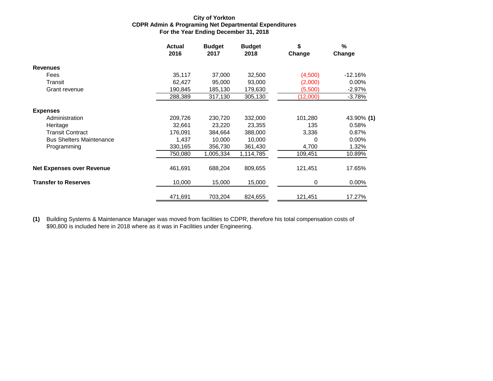#### **For the Year Ending December 31, 2018 CDPR Admin & Programing Net Departmental Expenditures City of Yorkton**

|                                  | <b>Actual</b><br>2016 | <b>Budget</b><br>2017 | <b>Budget</b><br>2018 | \$<br>Change | $\%$<br>Change |
|----------------------------------|-----------------------|-----------------------|-----------------------|--------------|----------------|
| <b>Revenues</b>                  |                       |                       |                       |              |                |
| Fees                             | 35,117                | 37,000                | 32,500                | (4,500)      | $-12.16%$      |
| Transit                          | 62,427                | 95,000                | 93,000                | (2,000)      | 0.00%          |
| Grant revenue                    | 190,845               | 185,130               | 179,630               | (5,500)      | $-2.97\%$      |
|                                  | 288,389               | 317,130               | 305,130               | (12,000)     | $-3.78%$       |
| <b>Expenses</b>                  |                       |                       |                       |              |                |
| Administration                   | 209,726               | 230,720               | 332,000               | 101,280      | 43.90% (1)     |
| Heritage                         | 32,661                | 23,220                | 23,355                | 135          | 0.58%          |
| <b>Transit Contract</b>          | 176,091               | 384,664               | 388,000               | 3,336        | 0.87%          |
| <b>Bus Shelters Maintenance</b>  | 1,437                 | 10.000                | 10,000                | 0            | $0.00\%$       |
| Programming                      | 330,165               | 356,730               | 361,430               | 4,700        | 1.32%          |
|                                  | 750,080               | 1,005,334             | 1,114,785             | 109,451      | 10.89%         |
| <b>Net Expenses over Revenue</b> | 461,691               | 688,204               | 809,655               | 121,451      | 17.65%         |
| <b>Transfer to Reserves</b>      | 10,000                | 15,000                | 15,000                | 0            | 0.00%          |
|                                  | 471,691               | 703,204               | 824,655               | 121,451      | 17.27%         |

**(1)** Building Systems & Maintenance Manager was moved from facilities to CDPR, therefore his total compensation costs of \$90,800 is included here in 2018 where as it was in Facilities under Engineering.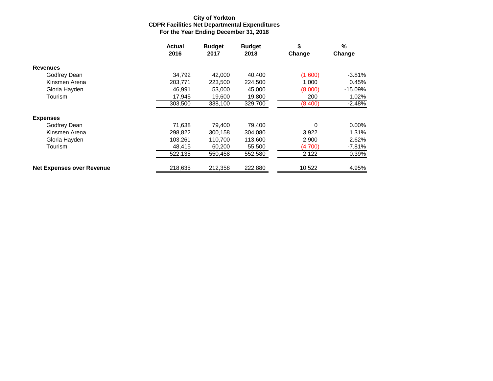#### **For the Year Ending December 31, 2018 CDPR Facilities Net Departmental Expenditures City of Yorkton**

|                                  | <b>Actual</b><br>2016 | <b>Budget</b><br>2017 | <b>Budget</b><br>2018 | \$<br>Change | %<br>Change |
|----------------------------------|-----------------------|-----------------------|-----------------------|--------------|-------------|
| <b>Revenues</b>                  |                       |                       |                       |              |             |
| Godfrey Dean                     | 34,792                | 42,000                | 40.400                | (1,600)      | $-3.81\%$   |
| Kinsmen Arena                    | 203,771               | 223,500               | 224,500               | 1,000        | 0.45%       |
| Gloria Hayden                    | 46,991                | 53,000                | 45,000                | (8,000)      | $-15.09%$   |
| Tourism                          | 17,945                | 19,600                | 19,800                | 200          | 1.02%       |
|                                  | 303,500               | 338,100               | 329,700               | (8,400)      | $-2.48%$    |
| <b>Expenses</b>                  |                       |                       |                       |              |             |
| Godfrey Dean                     | 71,638                | 79.400                | 79.400                | 0            | $0.00\%$    |
| Kinsmen Arena                    | 298,822               | 300,158               | 304.080               | 3,922        | 1.31%       |
| Gloria Hayden                    | 103,261               | 110,700               | 113,600               | 2,900        | 2.62%       |
| Tourism                          | 48.415                | 60,200                | 55,500                | (4,700)      | $-7.81%$    |
|                                  | 522,135               | 550,458               | 552,580               | 2,122        | 0.39%       |
| <b>Net Expenses over Revenue</b> | 218,635               | 212,358               | 222,880               | 10,522       | 4.95%       |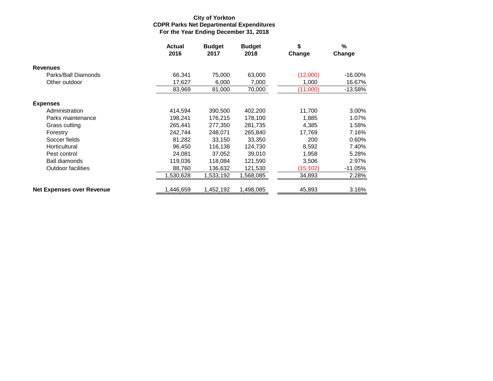#### **For the Year Ending December 31, 2018 CDPR Parks Net Departmental Expenditures City of Yorkton**

|                                  | Actual<br>2016 | <b>Budget</b><br>2017 | <b>Budget</b><br>2018 | \$<br>Change | $\frac{9}{6}$<br>Change |
|----------------------------------|----------------|-----------------------|-----------------------|--------------|-------------------------|
| <b>Revenues</b>                  |                |                       |                       |              |                         |
| Parks/Ball Diamonds              | 66,341         | 75,000                | 63,000                | (12,000)     | $-16.00\%$              |
| Other outdoor                    | 17,627         | 6,000                 | 7,000                 | 1,000        | 16.67%                  |
|                                  | 83,969         | 81,000                | 70,000                | (11,000)     | $-13.58%$               |
| <b>Expenses</b>                  |                |                       |                       |              |                         |
| Administration                   | 414,594        | 390,500               | 402,200               | 11,700       | 3.00%                   |
| Parks maintenance                | 198,241        | 176,215               | 178,100               | 1,885        | 1.07%                   |
| Grass cutting                    | 265,441        | 277,350               | 281,735               | 4,385        | 1.58%                   |
| Forestry                         | 242,744        | 248,071               | 265,840               | 17,769       | 7.16%                   |
| Soccer fields                    | 81,282         | 33,150                | 33,350                | 200          | 0.60%                   |
| Horticultural                    | 96,450         | 116,138               | 124,730               | 8,592        | 7.40%                   |
| Pest control                     | 24,081         | 37,052                | 39,010                | 1,958        | 5.28%                   |
| <b>Ball diamonds</b>             | 119,036        | 118,084               | 121,590               | 3,506        | 2.97%                   |
| <b>Outdoor facilities</b>        | 88,760         | 136,632               | 121,530               | (15, 102)    | $-11.05%$               |
|                                  | 1,530,628      | 1,533,192             | 1,568,085             | 34,893       | 2.28%                   |
| <b>Net Expenses over Revenue</b> | 1,446,659      | 1,452,192             | 1,498,085             | 45,893       | 3.16%                   |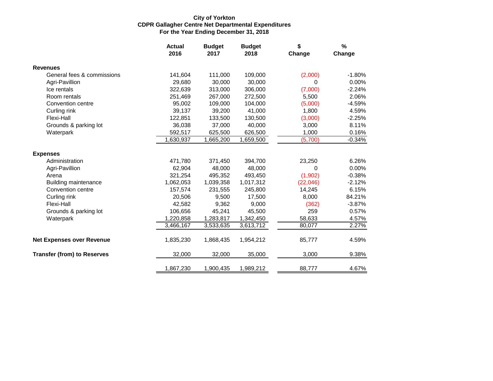#### **For the Year Ending December 31, 2018 CDPR Gallagher Centre Net Departmental Expenditures City of Yorkton**

|                                    | <b>Actual</b><br>2016 | <b>Budget</b> | <b>Budget</b> | \$       | %        |
|------------------------------------|-----------------------|---------------|---------------|----------|----------|
|                                    |                       | 2017          | 2018          | Change   | Change   |
| <b>Revenues</b>                    |                       |               |               |          |          |
| General fees & commissions         | 141,604               | 111,000       | 109,000       | (2,000)  | $-1.80%$ |
| Agri-Pavillion                     | 29,680                | 30,000        | 30,000        | 0        | 0.00%    |
| Ice rentals                        | 322,639               | 313,000       | 306,000       | (7,000)  | $-2.24%$ |
| Room rentals                       | 251,469               | 267,000       | 272,500       | 5,500    | 2.06%    |
| Convention centre                  | 95,002                | 109,000       | 104,000       | (5,000)  | $-4.59%$ |
| Curling rink                       | 39,137                | 39,200        | 41,000        | 1,800    | 4.59%    |
| Flexi-Hall                         | 122,851               | 133,500       | 130,500       | (3,000)  | $-2.25%$ |
| Grounds & parking lot              | 36,038                | 37,000        | 40,000        | 3,000    | 8.11%    |
| Waterpark                          | 592,517               | 625,500       | 626,500       | 1,000    | 0.16%    |
|                                    | 1,630,937             | 1,665,200     | 1,659,500     | (5,700)  | $-0.34%$ |
| <b>Expenses</b>                    |                       |               |               |          |          |
| Administration                     | 471,780               | 371,450       | 394,700       | 23,250   | 6.26%    |
| Agri-Pavillion                     | 62,904                | 48,000        | 48,000        | 0        | 0.00%    |
| Arena                              | 321,254               | 495,352       | 493,450       | (1,902)  | $-0.38%$ |
| <b>Building maintenance</b>        | 1,062,053             | 1,039,358     | 1,017,312     | (22,046) | $-2.12%$ |
| Convention centre                  | 157,574               | 231,555       | 245,800       | 14,245   | 6.15%    |
| Curling rink                       | 20,506                | 9,500         | 17,500        | 8,000    | 84.21%   |
| Flexi-Hall                         | 42,582                | 9,362         | 9,000         | (362)    | $-3.87%$ |
| Grounds & parking lot              | 106,656               | 45,241        | 45,500        | 259      | 0.57%    |
| Waterpark                          | 1,220,858             | 1,283,817     | 1,342,450     | 58,633   | 4.57%    |
|                                    | 3,466,167             | 3,533,635     | 3,613,712     | 80,077   | 2.27%    |
| <b>Net Expenses over Revenue</b>   | 1,835,230             | 1,868,435     | 1,954,212     | 85,777   | 4.59%    |
| <b>Transfer (from) to Reserves</b> | 32,000                | 32,000        | 35,000        | 3,000    | 9.38%    |
|                                    | 1,867,230             | 1,900,435     | 1,989,212     | 88,777   | 4.67%    |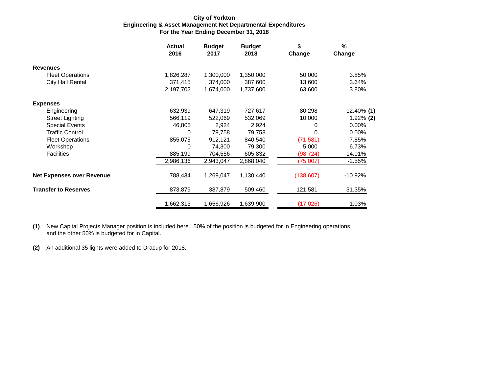#### **For the Year Ending December 31, 2018 Engineering & Asset Management Net Departmental Expenditures City of Yorkton**

|                                  | <b>Actual</b><br>2016 | <b>Budget</b><br>2017 | <b>Budget</b><br>2018 | \$<br>Change | $\%$<br>Change |
|----------------------------------|-----------------------|-----------------------|-----------------------|--------------|----------------|
| <b>Revenues</b>                  |                       |                       |                       |              |                |
| <b>Fleet Operations</b>          | 1,826,287             | 1,300,000             | 1,350,000             | 50,000       | 3.85%          |
| <b>City Hall Rental</b>          | 371,415               | 374,000               | 387,600               | 13,600       | 3.64%          |
|                                  | 2,197,702             | 1,674,000             | 1,737,600             | 63,600       | 3.80%          |
| <b>Expenses</b>                  |                       |                       |                       |              |                |
| Engineering                      | 632,939               | 647,319               | 727,617               | 80,298       | 12.40% (1)     |
| <b>Street Lighting</b>           | 566,119               | 522,069               | 532,069               | 10,000       | 1.92% (2)      |
| <b>Special Events</b>            | 46,805                | 2,924                 | 2,924                 | 0            | 0.00%          |
| <b>Traffic Control</b>           | 0                     | 79,758                | 79,758                | 0            | $0.00\%$       |
| <b>Fleet Operations</b>          | 855,075               | 912,121               | 840,540               | (71, 581)    | -7.85%         |
| Workshop                         | $\Omega$              | 74,300                | 79,300                | 5,000        | 6.73%          |
| <b>Facilities</b>                | 885,199               | 704,556               | 605,832               | (98, 724)    | $-14.01%$      |
|                                  | 2,986,136             | 2,943,047             | 2,868,040             | (75,007)     | $-2.55%$       |
| <b>Net Expenses over Revenue</b> | 788,434               | 1,269,047             | 1,130,440             | (138, 607)   | $-10.92%$      |
| <b>Transfer to Reserves</b>      | 873,879               | 387,879               | 509,460               | 121,581      | 31.35%         |
|                                  | 1,662,313             | 1,656,926             | 1,639,900             | (17,026)     | $-1.03%$       |

**(1)** New Capital Projects Manager position is included here. 50% of the position is budgeted for in Engineering operations and the other 50% is budgeted for in Capital.

**(2)** An additional 35 lights were added to Dracup for 2018.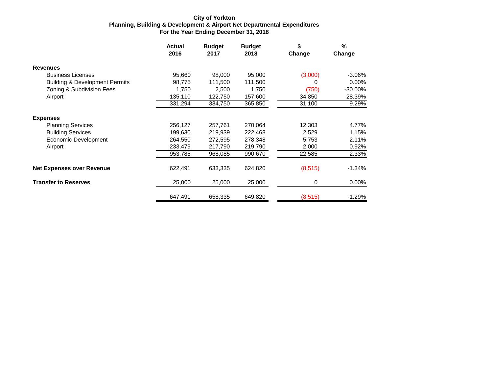#### **For the Year Ending December 31, 2018 Planning, Building & Development & Airport Net Departmental Expenditures City of Yorkton**

|                                           | Actual<br>2016 | <b>Budget</b><br>2017 | <b>Budget</b><br>2018 | \$<br>Change | $\%$<br>Change |
|-------------------------------------------|----------------|-----------------------|-----------------------|--------------|----------------|
| <b>Revenues</b>                           |                |                       |                       |              |                |
| <b>Business Licenses</b>                  | 95,660         | 98,000                | 95,000                | (3,000)      | $-3.06\%$      |
| <b>Building &amp; Development Permits</b> | 98,775         | 111,500               | 111,500               | 0            | $0.00\%$       |
| Zoning & Subdivision Fees                 | 1,750          | 2,500                 | 1,750                 | (750)        | $-30.00\%$     |
| Airport                                   | 135,110        | 122,750               | 157,600               | 34,850       | 28.39%         |
|                                           | 331,294        | 334,750               | 365,850               | 31,100       | 9.29%          |
| <b>Expenses</b>                           |                |                       |                       |              |                |
| <b>Planning Services</b>                  | 256,127        | 257,761               | 270,064               | 12,303       | 4.77%          |
| <b>Building Services</b>                  | 199,630        | 219,939               | 222,468               | 2,529        | 1.15%          |
| Economic Development                      | 264,550        | 272,595               | 278,348               | 5,753        | 2.11%          |
| Airport                                   | 233,479        | 217,790               | 219,790               | 2,000        | 0.92%          |
|                                           | 953,785        | 968,085               | 990,670               | 22,585       | 2.33%          |
| <b>Net Expenses over Revenue</b>          | 622,491        | 633,335               | 624,820               | (8, 515)     | $-1.34%$       |
| <b>Transfer to Reserves</b>               | 25,000         | 25,000                | 25,000                | 0            | 0.00%          |
|                                           | 647,491        | 658,335               | 649,820               | (8, 515)     | $-1.29%$       |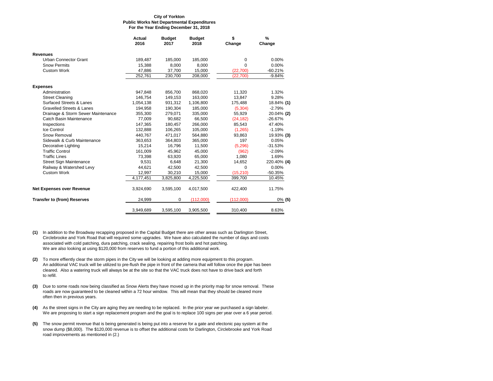#### **For the Year Ending December 31, 2018 Public Works Net Departmental Expenditures City of Yorkton**

|                                      | <b>Actual</b><br>2016 | <b>Budget</b><br>2017 | <b>Budget</b><br>2018 | \$<br>Change | %<br>Change |
|--------------------------------------|-----------------------|-----------------------|-----------------------|--------------|-------------|
| <b>Revenues</b>                      |                       |                       |                       |              |             |
| Urban Connector Grant                | 189,487               | 185,000               | 185,000               | 0            | 0.00%       |
| <b>Snow Permits</b>                  | 15,388                | 8,000                 | 8,000                 | 0            | 0.00%       |
| Custom Work                          | 47,886                | 37,700                | 15,000                | (22, 700)    | $-60.21%$   |
|                                      | 252,761               | 230,700               | 208,000               | (22,700)     | $-9.84%$    |
| <b>Expenses</b>                      |                       |                       |                       |              |             |
| Administration                       | 947,848               | 856,700               | 868,020               | 11,320       | 1.32%       |
| <b>Street Cleaning</b>               | 146,754               | 149,153               | 163,000               | 13,847       | 9.28%       |
| Surfaced Streets & Lanes             | 1,054,138             | 931,312               | 1,106,800             | 175,488      | 18.84% (1)  |
| <b>Gravelled Streets &amp; Lanes</b> | 194,958               | 190,304               | 185,000               | (5,304)      | $-2.79%$    |
| Drainage & Storm Sewer Maintenance   | 355,300               | 279,071               | 335,000               | 55,929       | 20.04% (2)  |
| Catch Basin Maintenance              | 77.009                | 90.682                | 66,500                | (24, 182)    | $-26.67%$   |
| Inspections                          | 147,365               | 180,457               | 266,000               | 85,543       | 47.40%      |
| Ice Control                          | 132,888               | 106,265               | 105,000               | (1,265)      | $-1.19%$    |
| Snow Removal                         | 440,767               | 471,017               | 564,880               | 93,863       | 19.93% (3)  |
| Sidewalk & Curb Maintenance          | 363,653               | 364,803               | 365,000               | 197          | 0.05%       |
| Decorative Lighting                  | 15,214                | 16,796                | 11,500                | (5,296)      | $-31.53%$   |
| <b>Traffic Control</b>               | 161,009               | 45,962                | 45,000                | (962)        | $-2.09%$    |
| <b>Traffic Lines</b>                 | 73,398                | 63,920                | 65,000                | 1,080        | 1.69%       |
| <b>Street Sign Maintenance</b>       | 9,531                 | 6.648                 | 21,300                | 14,652       | 220.40% (4) |
| Railway & Watershed Levy             | 44,621                | 42,500                | 42,500                | 0            | 0.00%       |
| <b>Custom Work</b>                   | 12.997                | 30,210                | 15,000                | (15, 210)    | $-50.35%$   |
|                                      | 4,177,451             | 3,825,800             | 4,225,500             | 399,700      | 10.45%      |
| Net Expenses over Revenue            | 3,924,690             | 3,595,100             | 4,017,500             | 422,400      | 11.75%      |
| <b>Transfer to (from) Reserves</b>   | 24,999                | 0                     | (112,000)             | (112,000)    | $0\%$ (5)   |
|                                      | 3,949,689             | 3,595,100             | 3,905,500             | 310,400      | 8.63%       |

- **(1)** In addition to the Broadway recapping proposed in the Capital Budget there are other areas such as Darlington Street, Circlebrooke and York Road that will required some upgrades. We have also calculated the number of days and costs associated with cold patching, dura patching, crack sealing, repairing frost boils and hot patching. We are also looking at using \$120,000 from reserves to fund a portion of this additional work.
- **(2)** To more effiently clear the storm pipes in the City we will be looking at adding more equipment to this program. An additional VAC truck will be utilized to pre-flush the pipe in front of the camera that will follow once the pipe has been cleared. Also a watering truck will always be at the site so that the VAC truck does not have to drive back and forth to refill.
- **(3)** Due to some roads now being classified as Snow Alerts they have moved up in the priority map for snow removal. These roads are now guaranteed to be cleaned within a 72 hour window. This will mean that they should be cleared more often then in previous years.
- **(4)** As the street signs in the City are aging they are needing to be replaced. In the prior year we purchased a sign labeler. We are proposing to start a sign replacement program and the goal is to replace 100 signs per year over a 6 year period.
- **(5)** The snow permit revenue that is being generated is being put into a reserve for a gate and electonic pay system at the snow dump (\$8,000). The \$120,000 revenue is to offset the additional costs for Darlington, Circlebrooke and York Road road improvements as mentioned in (2.)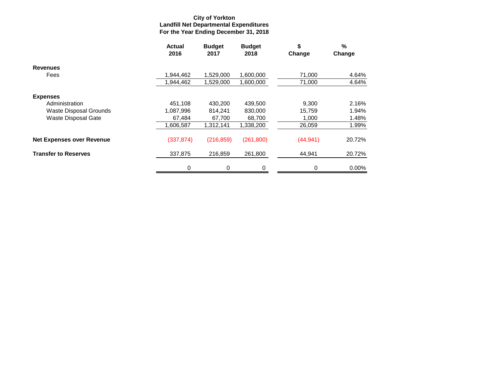#### **For the Year Ending December 31, 2018 Landfill Net Departmental Expenditures City of Yorkton**

|                                  | <b>Actual</b><br>2016 | <b>Budget</b><br>2017 | <b>Budget</b><br>2018 | \$<br>Change | %<br>Change |
|----------------------------------|-----------------------|-----------------------|-----------------------|--------------|-------------|
| <b>Revenues</b>                  |                       |                       |                       |              |             |
| Fees                             | 1,944,462             | 1,529,000             | 1,600,000             | 71,000       | 4.64%       |
|                                  | 1,944,462             | 1,529,000             | 1,600,000             | 71,000       | 4.64%       |
| <b>Expenses</b>                  |                       |                       |                       |              |             |
| Administration                   | 451,108               | 430,200               | 439,500               | 9,300        | 2.16%       |
| Waste Disposal Grounds           | 1,087,996             | 814,241               | 830,000               | 15,759       | 1.94%       |
| <b>Waste Disposal Gate</b>       | 67,484                | 67,700                | 68,700                | 1,000        | 1.48%       |
|                                  | 1,606,587             | 1,312,141             | 1,338,200             | 26,059       | 1.99%       |
| <b>Net Expenses over Revenue</b> | (337, 874)            | (216, 859)            | (261, 800)            | (44, 941)    | 20.72%      |
| <b>Transfer to Reserves</b>      | 337,875               | 216,859               | 261,800               | 44,941       | 20.72%      |
|                                  | 0                     | 0                     | 0                     | 0            | $0.00\%$    |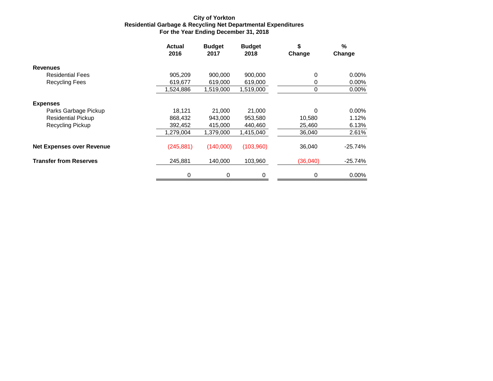#### **For the Year Ending December 31, 2018 Residential Garbage & Recycling Net Departmental Expenditures City of Yorkton**

|                                  | <b>Actual</b><br>2016 | <b>Budget</b><br>2017 | <b>Budget</b><br>2018 | \$<br>Change | $\frac{9}{6}$<br>Change |
|----------------------------------|-----------------------|-----------------------|-----------------------|--------------|-------------------------|
| <b>Revenues</b>                  |                       |                       |                       |              |                         |
| <b>Residential Fees</b>          | 905,209               | 900,000               | 900,000               | 0            | $0.00\%$                |
| Recycling Fees                   | 619,677               | 619,000               | 619,000               | 0            | $0.00\%$                |
|                                  | 1,524,886             | 1,519,000             | 1,519,000             | 0            | $0.00\%$                |
| <b>Expenses</b>                  |                       |                       |                       |              |                         |
| Parks Garbage Pickup             | 18,121                | 21,000                | 21,000                | 0            | 0.00%                   |
| <b>Residential Pickup</b>        | 868,432               | 943,000               | 953,580               | 10,580       | 1.12%                   |
| Recycling Pickup                 | 392,452               | 415,000               | 440,460               | 25,460       | 6.13%                   |
|                                  | 1,279,004             | 1,379,000             | 1,415,040             | 36,040       | 2.61%                   |
| <b>Net Expenses over Revenue</b> | (245, 881)            | (140,000)             | (103,960)             | 36,040       | $-25.74%$               |
| <b>Transfer from Reserves</b>    | 245,881               | 140,000               | 103,960               | (36,040)     | $-25.74%$               |
|                                  | 0                     | $\mathbf 0$           | $\Omega$              | 0            | 0.00%                   |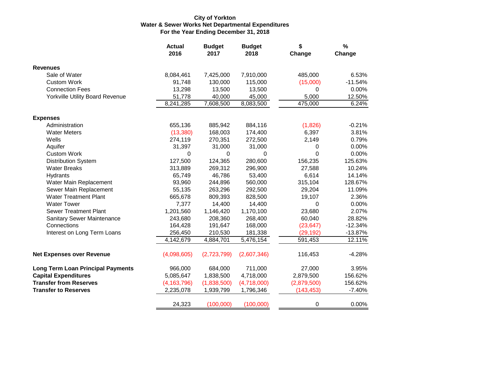#### **City of Yorkton Water & Sewer Works Net Departmental Expenditures For the Year Ending December 31, 2018**

|                                          | <b>Actual</b><br>2016 | <b>Budget</b><br>2017 | <b>Budget</b><br>2018 | \$<br>Change | %<br>Change |
|------------------------------------------|-----------------------|-----------------------|-----------------------|--------------|-------------|
| <b>Revenues</b>                          |                       |                       |                       |              |             |
| Sale of Water                            | 8,084,461             | 7,425,000             | 7,910,000             | 485,000      | 6.53%       |
| <b>Custom Work</b>                       | 91,748                | 130,000               | 115,000               | (15,000)     | $-11.54%$   |
| <b>Connection Fees</b>                   | 13,298                | 13,500                | 13,500                | 0            | 0.00%       |
| <b>Yorkville Utility Board Revenue</b>   | 51,778                | 40,000                | 45,000                | 5,000        | 12.50%      |
|                                          | 8,241,285             | 7,608,500             | 8,083,500             | 475,000      | 6.24%       |
| <b>Expenses</b>                          |                       |                       |                       |              |             |
| Administration                           | 655,136               | 885,942               | 884,116               | (1,826)      | $-0.21%$    |
| <b>Water Meters</b>                      | (13, 380)             | 168,003               | 174,400               | 6,397        | 3.81%       |
| Wells                                    | 274,119               | 270,351               | 272,500               | 2,149        | 0.79%       |
| Aquifer                                  | 31,397                | 31,000                | 31,000                | 0            | 0.00%       |
| <b>Custom Work</b>                       | $\Omega$              | 0                     | $\Omega$              | $\Omega$     | 0.00%       |
| <b>Distribution System</b>               | 127,500               | 124,365               | 280,600               | 156,235      | 125.63%     |
| <b>Water Breaks</b>                      | 313,889               | 269,312               | 296,900               | 27,588       | 10.24%      |
| Hydrants                                 | 65,749                | 46,786                | 53,400                | 6,614        | 14.14%      |
| Water Main Replacement                   | 93,960                | 244,896               | 560,000               | 315,104      | 128.67%     |
| Sewer Main Replacement                   | 55,135                | 263,296               | 292,500               | 29,204       | 11.09%      |
| <b>Water Treatment Plant</b>             | 665,678               | 809,393               | 828,500               | 19,107       | 2.36%       |
| <b>Water Tower</b>                       | 7,377                 | 14,400                | 14,400                | 0            | 0.00%       |
| <b>Sewer Treatment Plant</b>             | 1,201,560             | 1,146,420             | 1,170,100             | 23,680       | 2.07%       |
| <b>Sanitary Sewer Maintenance</b>        | 243,680               | 208,360               | 268,400               | 60,040       | 28.82%      |
| Connections                              | 164,428               | 191,647               | 168,000               | (23, 647)    | $-12.34%$   |
| Interest on Long Term Loans              | 256,450               | 210,530               | 181,338               | (29, 192)    | $-13.87%$   |
|                                          | 4,142,679             | 4,884,701             | 5,476,154             | 591,453      | 12.11%      |
| <b>Net Expenses over Revenue</b>         | (4,098,605)           | (2,723,799)           | (2,607,346)           | 116,453      | $-4.28%$    |
| <b>Long Term Loan Principal Payments</b> | 966,000               | 684,000               | 711,000               | 27,000       | 3.95%       |
| <b>Capital Expenditures</b>              | 5,085,647             | 1,838,500             | 4,718,000             | 2,879,500    | 156.62%     |
| <b>Transfer from Reserves</b>            | (4, 163, 796)         | (1,838,500)           | (4,718,000)           | (2,879,500)  | 156.62%     |
| <b>Transfer to Reserves</b>              | 2,235,078             | 1,939,799             | 1,796,346             | (143, 453)   | $-7.40%$    |
|                                          | 24,323                | (100,000)             | (100,000)             | 0            | 0.00%       |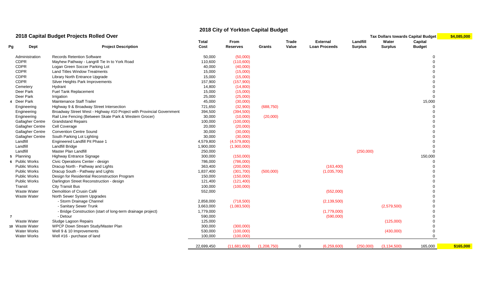# **2018 City of Yorkton Capital Budget**

### **2018 Capital Budget Projects Rolled Over Tax Dollars towards Capital Budget \$4,085,000**

|                     |                         | apılar Bauget i Tejevlə Renca Over                                    |              |                 |             |              |                      |                |                | rax Donars towards Oaphar Duuget <mark>I</mark> | $V^+$ , $V^+$ , $V^+$ |
|---------------------|-------------------------|-----------------------------------------------------------------------|--------------|-----------------|-------------|--------------|----------------------|----------------|----------------|-------------------------------------------------|-----------------------|
|                     |                         |                                                                       | <b>Total</b> | From            |             | <b>Trade</b> | <b>External</b>      | Landfill       | Water          | Capital                                         |                       |
| Pg                  | Dept                    | <b>Project Description</b>                                            | Cost         | <b>Reserves</b> | Grants      | Value        | <b>Loan Proceeds</b> | <b>Surplus</b> | <b>Surplus</b> | <b>Budget</b>                                   |                       |
| Administration      |                         | <b>Records Retention Software</b>                                     | 50,000       | (50,000)        |             |              |                      |                |                | $\Omega$                                        |                       |
| <b>CDPR</b>         |                         | Mayhew Pathway - Langrill Tie In to York Road                         | 110,600      | (110,600)       |             |              |                      |                |                | $\Omega$                                        |                       |
| <b>CDPR</b>         |                         | Logan Green Soccer Parking Lot                                        | 40,000       | (40,000)        |             |              |                      |                |                |                                                 |                       |
| <b>CDPR</b>         |                         | <b>Land Titles Window Treatments</b>                                  | 15,000       | (15,000)        |             |              |                      |                |                |                                                 |                       |
| <b>CDPR</b>         |                         | Library North Entrance Upgrade                                        | 15,000       | (15,000)        |             |              |                      |                |                |                                                 |                       |
| <b>CDPR</b>         |                         | Silver Heights Park Improvements                                      | 157,900      | (157,900)       |             |              |                      |                |                |                                                 |                       |
| Cemetery            |                         | Hydrant                                                               | 14,800       | (14,800)        |             |              |                      |                |                |                                                 |                       |
| Deer Park           |                         | Fuel Tank Replacement                                                 | 15,000       | (15,000)        |             |              |                      |                |                | $\Omega$                                        |                       |
| Deer Park           |                         | Irrigation                                                            | 25,000       | (25,000)        |             |              |                      |                |                | $\Omega$                                        |                       |
| 4 Deer Park         |                         | Maintenance Staff Trailer                                             | 45,000       | (30,000)        |             |              |                      |                |                | 15,000                                          |                       |
| Engineering         |                         | Highway 9 & Broadway Street Intersection                              | 721,650      | (32,900)        | (688, 750)  |              |                      |                |                | $\Omega$                                        |                       |
| Engineering         |                         | Broadway Street West - Highway #10 Project with Provincial Government | 394,500      | (394, 500)      |             |              |                      |                |                |                                                 |                       |
| Engineering         |                         | Rail Line Fencing (Between Skate Park & Western Grocer)               | 30,000       | (10,000)        | (20,000)    |              |                      |                |                |                                                 |                       |
|                     | <b>Gallagher Centre</b> | <b>Grandstand Repairs</b>                                             | 100,000      | (100,000)       |             |              |                      |                |                |                                                 |                       |
|                     | <b>Gallagher Centre</b> | Cell Coverage                                                         | 20,000       | (20,000)        |             |              |                      |                |                |                                                 |                       |
|                     | <b>Gallagher Centre</b> | <b>Convention Centre Sound</b>                                        | 30,000       | (30,000)        |             |              |                      |                |                |                                                 |                       |
|                     | <b>Gallagher Centre</b> | South Parking Lot Lighting                                            | 30,000       | (30,000)        |             |              |                      |                |                |                                                 |                       |
| Landfill            |                         | Engineered Landfill Pit Phase 1                                       | 4,579,800    | (4,579,800)     |             |              |                      |                |                |                                                 |                       |
| Landfill            |                         | Landfill Bridge                                                       | 1,900,000    | (1,900,000)     |             |              |                      |                |                | $\Omega$                                        |                       |
| Landfill            |                         | <b>Master Plan Landfill</b>                                           | 250,000      |                 |             |              |                      | (250,000)      |                | $\Omega$                                        |                       |
| 5 Planning          |                         | <b>Highway Entrance Signage</b>                                       | 300,000      | (150,000)       |             |              |                      |                |                | 150,000                                         |                       |
| 6 Public Works      |                         | Civic Operations Center - design                                      | 786,000      | (786,000)       |             |              |                      |                |                | $\Omega$                                        |                       |
| <b>Public Works</b> |                         | Dracup North - Pathway and Lights                                     | 363,400      | (200,000)       |             |              | (163, 400)           |                |                | $\Omega$                                        |                       |
| <b>Public Works</b> |                         | Dracup South - Pathway and Lights                                     | 1,837,400    | (301, 700)      | (500,000)   |              | (1,035,700)          |                |                |                                                 |                       |
| <b>Public Works</b> |                         | Design for Residential Reconstruction Program                         | 150,000      | (150,000)       |             |              |                      |                |                |                                                 |                       |
| <b>Public Works</b> |                         | Darlington Street Reconstruction - design                             | 121,400      | (121, 400)      |             |              |                      |                |                |                                                 |                       |
| Transit             |                         | <b>City Transit Bus</b>                                               | 100,000      | (100,000)       |             |              |                      |                |                |                                                 |                       |
| Waste Water         |                         | Demolition of Crusin Café                                             | 552,000      |                 |             |              | (552,000)            |                |                |                                                 |                       |
| Waste Water         |                         | North Sewer System Upgrades                                           |              |                 |             |              |                      |                |                |                                                 |                       |
|                     |                         | - Storm Drainage Channel                                              | 2,858,000    | (718,500)       |             |              | (2, 139, 500)        |                |                |                                                 |                       |
|                     |                         | - Sanitary Sewer Trunk                                                | 3,663,000    | (1,083,500)     |             |              |                      |                | (2,579,500)    |                                                 |                       |
|                     |                         | - Bridge Construction (start of long-term drainage project)           | 1,779,000    |                 |             |              | (1,779,000)          |                |                | $\Omega$                                        |                       |
|                     |                         | - Detour                                                              | 590,000      |                 |             |              | (590,000)            |                |                |                                                 |                       |
| <b>Waste Water</b>  |                         | Sludge Lagoon Repairs                                                 | 125,000      |                 |             |              |                      |                | (125,000)      |                                                 |                       |
| 10 Waste Water      |                         | WPCP Down Stream Study/Master Plan                                    | 300,000      | (300,000)       |             |              |                      |                |                | $\mathbf 0$                                     |                       |
| Water Works         |                         | Well 9 & 10 Improvements                                              | 530,000      | (100,000)       |             |              |                      |                | (430,000)      | $\mathbf 0$                                     |                       |
| <b>Water Works</b>  |                         | Well #16 - purchase of land                                           | 100,000      | (100,000)       |             |              |                      |                |                | $\mathbf 0$                                     |                       |
|                     |                         |                                                                       | 22,699,450   | (11,681,600)    | (1,208,750) | $\Omega$     | (6,259,600)          | (250,000)      | (3, 134, 500)  | 165,000                                         | \$165,000             |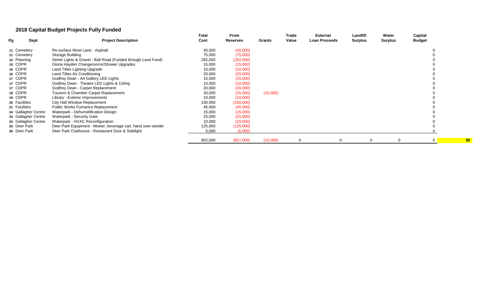# **2018 Capital Budget Projects Fully Funded**

| Pg<br>Dept          | <b>Project Description</b>                                    | Total<br>Cost | From<br><b>Reserves</b> | Grants   | Trade<br>Value | <b>External</b><br><b>Loan Proceeds</b> | Landfill<br>Surplus | Water<br><b>Surplus</b> | Capital<br><b>Budget</b> |
|---------------------|---------------------------------------------------------------|---------------|-------------------------|----------|----------------|-----------------------------------------|---------------------|-------------------------|--------------------------|
|                     |                                                               |               |                         |          |                |                                         |                     |                         |                          |
| 11 Cemetery         | Re-surface West Lane - Asphalt                                | 40,000        | (40,000)                |          |                |                                         |                     |                         |                          |
| 11 Cemetery         | Storage Building                                              | 75,000        | (75,000)                |          |                |                                         |                     |                         |                          |
| 12 Planning         | Street Lights & Gravel - Ball Road (Funded through Land Fund) | 282,000       | (282,000)               |          |                |                                         |                     |                         |                          |
| 15 CDPR             | Gloria Hayden Changerooms/Shower Upgrades                     | 15,000        | (15,000)                |          |                |                                         |                     |                         |                          |
| 16 CDPR             | Land Titles Lighting Upgrade                                  | 10,000        | (10,000)                |          |                |                                         |                     |                         |                          |
| 16 CDPR             | Land Titles Air Conditioning                                  | 20,000        | (20,000)                |          |                |                                         |                     |                         |                          |
| 17 CDPR             | Godfrey Dean - Art Gallery LED Lights                         | 15,000        | (15,000)                |          |                |                                         |                     |                         |                          |
| 17 CDPR             | Godfrey Dean - Theatre LED Lights & Celing                    | 10,000        | (10,000)                |          |                |                                         |                     |                         |                          |
| 17 CDPR             | Godfrey Dean - Carpet Replacement                             | 20,000        | (20,000)                |          |                |                                         |                     |                         |                          |
| 18 CDPR             | Tourism & Chamber Carpet Replacement                          | 30,000        | (15,000)                | (15,000) |                |                                         |                     |                         |                          |
| 19 CDPR             | Library - Exterior Improvements                               | 10,000        | (10,000)                |          |                |                                         |                     |                         |                          |
| 20 Facilities       | City Hall Window Replacement                                  | 100,000       | (100,000)               |          |                |                                         |                     |                         |                          |
| 21 Facilities       | <b>Public Works Furnance Replacement</b>                      | 45,000        | (45,000)                |          |                |                                         |                     |                         |                          |
| 24 Gallagher Centre | Waterpark - Dehumidification Design                           | 15,000        | (15,000)                |          |                |                                         |                     |                         |                          |
| 24 Gallagher Centre | Waterpark - Security Gate                                     | 25,000        | (25,000)                |          |                |                                         |                     |                         |                          |
| 24 Gallagher Centre | Waterpark - HVAC Reconfiguration                              | 10,000        | (10,000)                |          |                |                                         |                     |                         |                          |
| 25 Deer Park        | Deer Park Equipment - Mower, beverage cart, hand over-seeder  | 125,000       | (125,000)               |          |                |                                         |                     |                         |                          |
| 26 Deer Park        | Deer Park Clubhouse - Restaurant Door & Sidelight             | 5,000         | (5,000)                 |          |                |                                         |                     |                         |                          |
|                     |                                                               | 852,000       | (837,000)               | (15,000) |                |                                         |                     |                         |                          |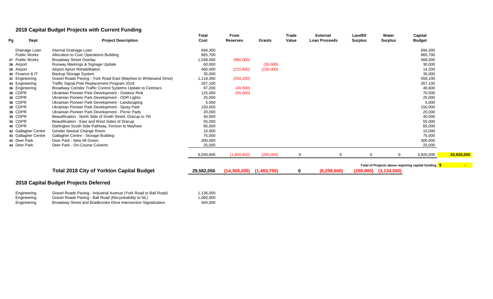# **2018 Capital Budget Projects with Current Funding**

| Pg<br>Dept                          | <b>Project Description</b>                                                                               | Total<br>Cost | From<br><b>Reserves</b>      | <b>Grants</b> | Trade<br>Value | <b>External</b><br><b>Loan Proceeds</b> | Landfill<br><b>Surplus</b> | Water<br><b>Surplus</b>   | Capital<br><b>Budget</b>                             |             |
|-------------------------------------|----------------------------------------------------------------------------------------------------------|---------------|------------------------------|---------------|----------------|-----------------------------------------|----------------------------|---------------------------|------------------------------------------------------|-------------|
| Drainage Loan                       | Internal Drainage Loan                                                                                   | 694,300       |                              |               |                |                                         |                            |                           | 694,300                                              |             |
| <b>Public Works</b>                 | Allocation to Civic Operations Building                                                                  | 865,700       |                              |               |                |                                         |                            |                           | 865,700                                              |             |
| 27 Public Works                     | <b>Broadway Street Overlay</b>                                                                           | 1,548,000     | (980,000)                    |               |                |                                         |                            |                           | 568,000                                              |             |
| 28 Airport                          | Runway Markings & Signage Update                                                                         | 60,000        |                              | (30,000)      |                |                                         |                            |                           | 30,000                                               |             |
| 29 Airport                          | Airport Apron Rehabilitation                                                                             | 460,000       | (215,800)                    | (230,000)     |                |                                         |                            |                           | 14,200                                               |             |
| 30 Finance & IT                     | Backup Storage System                                                                                    | 35,000        |                              |               |                |                                         |                            |                           | 35,000                                               |             |
| 31 Engineering                      | Gravel Roads Paving - York Road East (Mayhew to Whitesand Drive)                                         | 1,118,300     | (559, 200)                   |               |                |                                         |                            |                           | 559,100                                              |             |
| 34 Engineering                      | Traffic Signal Pole Replacement Program 2018                                                             | 267,100       |                              |               |                |                                         |                            |                           | 267,100                                              |             |
| 36 Engineering                      | Broadway Corridor Traffic Control Systems Update to Centracs                                             | 87,200        | (40,600)                     |               |                |                                         |                            |                           | 46,600                                               |             |
| 38 CDPR                             | Ukrainian Pioneer Park Development - Outdoor Rink                                                        | 125,000       | (55,000)                     |               |                |                                         |                            |                           | 70,000                                               |             |
| 38 CDPR                             | Ukrainian Pioneer Park Development - ODR Lights                                                          | 25,000        |                              |               |                |                                         |                            |                           | 25,000                                               |             |
| 38 CDPR                             | Ukrainian Pioneer Park Development - Landscaping                                                         | 5,000         |                              |               |                |                                         |                            |                           | 5,000                                                |             |
| 38 CDPR                             | Ukrainian Pioneer Park Development - Spray Park                                                          | 150,000       |                              |               |                |                                         |                            |                           | 150,000                                              |             |
| 38 CDPR                             | Ukrainian Pioneer Park Development - Picnic Pads                                                         | 20,000        |                              |               |                |                                         |                            |                           | 20,000                                               |             |
| 39 CDPR                             | Beautification - North Side of Smith Street, Dracup to 7th                                               | 40,000        |                              |               |                |                                         |                            |                           | 40,000                                               |             |
| 39 CDPR                             | Beautification - East and West Sides of Dracup                                                           | 55,000        |                              |               |                |                                         |                            |                           | 55,000                                               |             |
| 40 CDPR                             | Darlington South Side Pathway, Fenson to Mayhew                                                          | 65,000        |                              |               |                |                                         |                            |                           | 65,000                                               |             |
| 42 Gallagher Centre                 | Gender Neutral Change Room                                                                               | 10,000        |                              |               |                |                                         |                            |                           | 10,000                                               |             |
| 43 Gallagher Centre                 | Gallagher Centre - Storage Building                                                                      | 75,000        |                              |               |                |                                         |                            |                           | 75,000                                               |             |
| 44 Deer Park                        | Deer Park - New #8 Green                                                                                 | 300,000       |                              |               |                |                                         |                            |                           | 300,000                                              |             |
| 44 Deer Park                        | Deer Park - On-Course Culverts                                                                           | 25,000        |                              |               |                |                                         |                            |                           | 25,000                                               |             |
|                                     |                                                                                                          | 6,030,600     | (1,850,600)                  | (260,000)     | $\mathbf 0$    | $\Omega$                                |                            | 0                         | 3,920,000                                            | \$3,920,000 |
|                                     |                                                                                                          |               |                              |               |                |                                         |                            |                           | Total of Projects above requiring capital funding \$ |             |
|                                     | <b>Total 2018 City of Yorkton Capital Budget</b>                                                         | 29,582,050    | $(14,369,200)$ $(1,483,750)$ |               | 0              | (6, 259, 600)                           |                            | $(250,000)$ $(3,134,500)$ |                                                      |             |
| Externational and set of the set of | 2018 Capital Budget Projects Deferred<br>Curriel Dende Devine Hadistrict Avenue (Ved: Dend to Dell Dend) | 1.120000      |                              |               |                |                                         |                            |                           |                                                      |             |

| Engineering | Gravel Roads Paving - Industrial Avenue (York Road to Ball Road) | 1,136,000 |
|-------------|------------------------------------------------------------------|-----------|
| Engineering | Gravel Roads Paving - Ball Road (Recycleability to NL)           | 1,060,000 |
| Engineering | Broadway Street and Bradbrooke Drive Intersection Signalization  | 564,000   |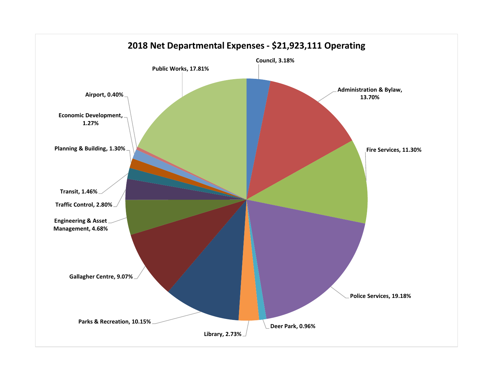